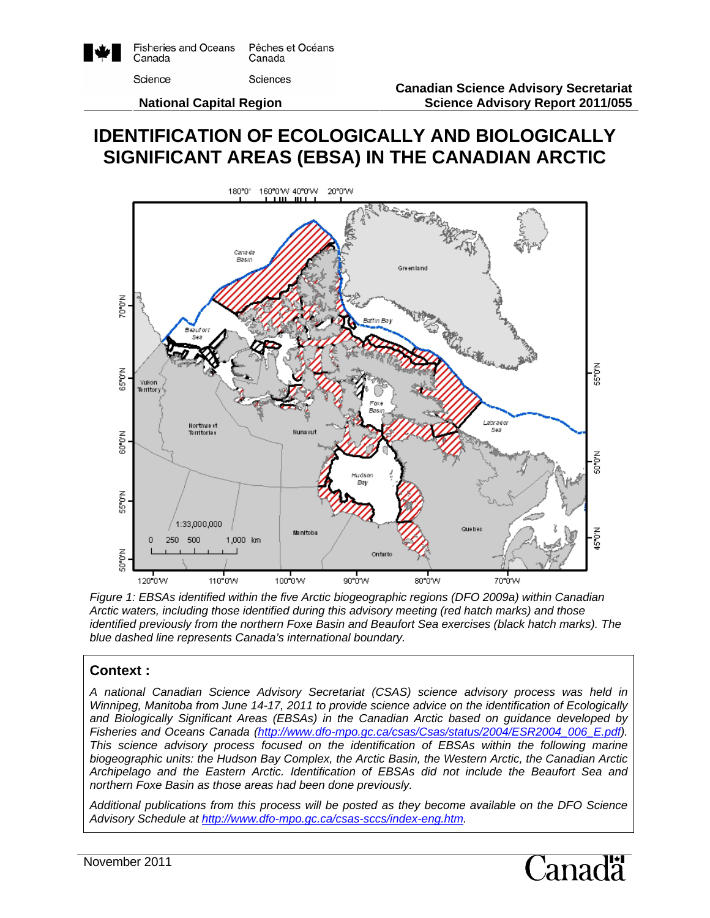

Pêches et Océans Canada Sciences

Science

 **National Capital Region** 

# **IDENTIFICATION OF ECOLOGICALLY AND BIOLOGICALLY SIGNIFICANT AREAS (EBSA) IN THE CANADIAN ARCTIC**



*Figure 1: EBSAs identified within the five Arctic biogeographic regions (DFO 2009a) within Canadian Arctic waters, including those identified during this advisory meeting (red hatch marks) and those identified previously from the northern Foxe Basin and Beaufort Sea exercises (black hatch marks). The blue dashed line represents Canada's international boundary.* 

## **Context :**

*A national Canadian Science Advisory Secretariat (CSAS) science advisory process was held in Winnipeg, Manitoba from June 14-17, 2011 to provide science advice on the identification of Ecologically and Biologically Significant Areas (EBSAs) in the Canadian Arctic based on guidance developed by Fisheries and Oceans Canada (http://www.dfo-mpo.gc.ca/csas/Csas/status/2004/ESR2004\_006\_E.pdf). This science advisory process focused on the identification of EBSAs within the following marine biogeographic units: the Hudson Bay Complex, the Arctic Basin, the Western Arctic, the Canadian Arctic Archipelago and the Eastern Arctic. Identification of EBSAs did not include the Beaufort Sea and northern Foxe Basin as those areas had been done previously.* 

*Additional publications from this process will be posted as they become available on the DFO Science Advisory Schedule at http://www.dfo-mpo.gc.ca/csas-sccs/index-eng.htm.* 

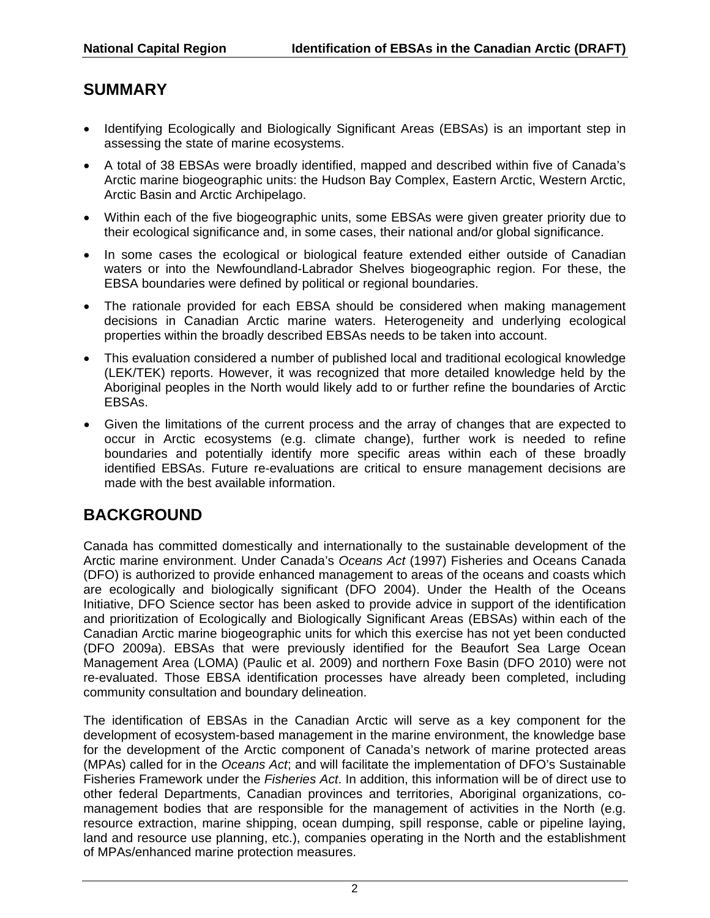# **SUMMARY**

- Identifying Ecologically and Biologically Significant Areas (EBSAs) is an important step in assessing the state of marine ecosystems.
- A total of 38 EBSAs were broadly identified, mapped and described within five of Canada's Arctic marine biogeographic units: the Hudson Bay Complex, Eastern Arctic, Western Arctic, Arctic Basin and Arctic Archipelago.
- Within each of the five biogeographic units, some EBSAs were given greater priority due to their ecological significance and, in some cases, their national and/or global significance.
- In some cases the ecological or biological feature extended either outside of Canadian waters or into the Newfoundland-Labrador Shelves biogeographic region. For these, the EBSA boundaries were defined by political or regional boundaries.
- The rationale provided for each EBSA should be considered when making management decisions in Canadian Arctic marine waters. Heterogeneity and underlying ecological properties within the broadly described EBSAs needs to be taken into account.
- This evaluation considered a number of published local and traditional ecological knowledge (LEK/TEK) reports. However, it was recognized that more detailed knowledge held by the Aboriginal peoples in the North would likely add to or further refine the boundaries of Arctic EBSAs.
- Given the limitations of the current process and the array of changes that are expected to occur in Arctic ecosystems (e.g. climate change), further work is needed to refine boundaries and potentially identify more specific areas within each of these broadly identified EBSAs. Future re-evaluations are critical to ensure management decisions are made with the best available information.

# **BACKGROUND**

Canada has committed domestically and internationally to the sustainable development of the Arctic marine environment. Under Canada's *Oceans Act* (1997) Fisheries and Oceans Canada (DFO) is authorized to provide enhanced management to areas of the oceans and coasts which are ecologically and biologically significant (DFO 2004). Under the Health of the Oceans Initiative, DFO Science sector has been asked to provide advice in support of the identification and prioritization of Ecologically and Biologically Significant Areas (EBSAs) within each of the Canadian Arctic marine biogeographic units for which this exercise has not yet been conducted (DFO 2009a). EBSAs that were previously identified for the Beaufort Sea Large Ocean Management Area (LOMA) (Paulic et al. 2009) and northern Foxe Basin (DFO 2010) were not re-evaluated. Those EBSA identification processes have already been completed, including community consultation and boundary delineation.

The identification of EBSAs in the Canadian Arctic will serve as a key component for the development of ecosystem-based management in the marine environment, the knowledge base for the development of the Arctic component of Canada's network of marine protected areas (MPAs) called for in the *Oceans Act*; and will facilitate the implementation of DFO's Sustainable Fisheries Framework under the *Fisheries Act*. In addition, this information will be of direct use to other federal Departments, Canadian provinces and territories, Aboriginal organizations, comanagement bodies that are responsible for the management of activities in the North (e.g. resource extraction, marine shipping, ocean dumping, spill response, cable or pipeline laying, land and resource use planning, etc.), companies operating in the North and the establishment of MPAs/enhanced marine protection measures.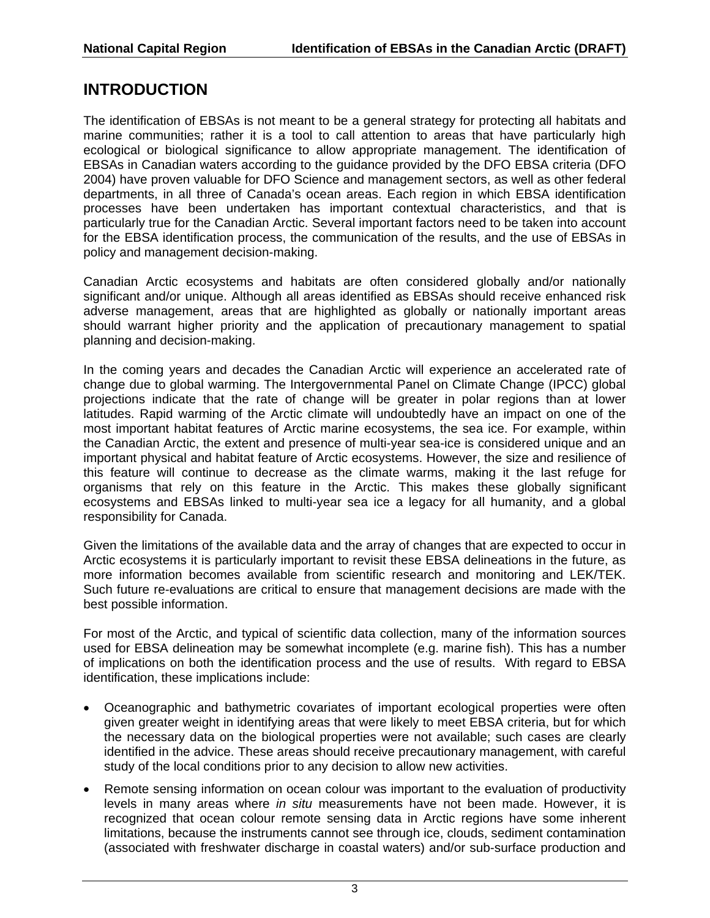## **INTRODUCTION**

The identification of EBSAs is not meant to be a general strategy for protecting all habitats and marine communities; rather it is a tool to call attention to areas that have particularly high ecological or biological significance to allow appropriate management. The identification of EBSAs in Canadian waters according to the guidance provided by the DFO EBSA criteria (DFO 2004) have proven valuable for DFO Science and management sectors, as well as other federal departments, in all three of Canada's ocean areas. Each region in which EBSA identification processes have been undertaken has important contextual characteristics, and that is particularly true for the Canadian Arctic. Several important factors need to be taken into account for the EBSA identification process, the communication of the results, and the use of EBSAs in policy and management decision-making.

Canadian Arctic ecosystems and habitats are often considered globally and/or nationally significant and/or unique. Although all areas identified as EBSAs should receive enhanced risk adverse management, areas that are highlighted as globally or nationally important areas should warrant higher priority and the application of precautionary management to spatial planning and decision-making.

In the coming years and decades the Canadian Arctic will experience an accelerated rate of change due to global warming. The Intergovernmental Panel on Climate Change (IPCC) global projections indicate that the rate of change will be greater in polar regions than at lower latitudes. Rapid warming of the Arctic climate will undoubtedly have an impact on one of the most important habitat features of Arctic marine ecosystems, the sea ice. For example, within the Canadian Arctic, the extent and presence of multi-year sea-ice is considered unique and an important physical and habitat feature of Arctic ecosystems. However, the size and resilience of this feature will continue to decrease as the climate warms, making it the last refuge for organisms that rely on this feature in the Arctic. This makes these globally significant ecosystems and EBSAs linked to multi-year sea ice a legacy for all humanity, and a global responsibility for Canada.

Given the limitations of the available data and the array of changes that are expected to occur in Arctic ecosystems it is particularly important to revisit these EBSA delineations in the future, as more information becomes available from scientific research and monitoring and LEK/TEK. Such future re-evaluations are critical to ensure that management decisions are made with the best possible information.

For most of the Arctic, and typical of scientific data collection, many of the information sources used for EBSA delineation may be somewhat incomplete (e.g. marine fish). This has a number of implications on both the identification process and the use of results. With regard to EBSA identification, these implications include:

- Oceanographic and bathymetric covariates of important ecological properties were often given greater weight in identifying areas that were likely to meet EBSA criteria, but for which the necessary data on the biological properties were not available; such cases are clearly identified in the advice. These areas should receive precautionary management, with careful study of the local conditions prior to any decision to allow new activities.
- Remote sensing information on ocean colour was important to the evaluation of productivity levels in many areas where *in situ* measurements have not been made. However, it is recognized that ocean colour remote sensing data in Arctic regions have some inherent limitations, because the instruments cannot see through ice, clouds, sediment contamination (associated with freshwater discharge in coastal waters) and/or sub-surface production and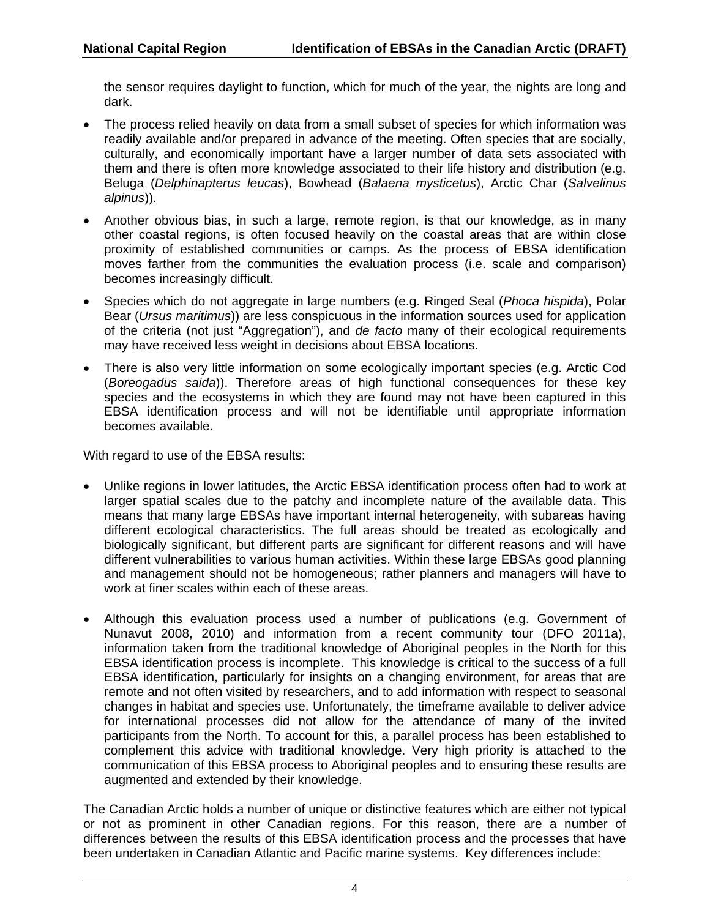the sensor requires daylight to function, which for much of the year, the nights are long and dark.

- The process relied heavily on data from a small subset of species for which information was readily available and/or prepared in advance of the meeting. Often species that are socially, culturally, and economically important have a larger number of data sets associated with them and there is often more knowledge associated to their life history and distribution (e.g. Beluga (*Delphinapterus leucas*), Bowhead (*Balaena mysticetus*), Arctic Char (*Salvelinus alpinus*)).
- Another obvious bias, in such a large, remote region, is that our knowledge, as in many other coastal regions, is often focused heavily on the coastal areas that are within close proximity of established communities or camps. As the process of EBSA identification moves farther from the communities the evaluation process (i.e. scale and comparison) becomes increasingly difficult.
- Species which do not aggregate in large numbers (e.g. Ringed Seal (*Phoca hispida*), Polar Bear (*Ursus maritimus*)) are less conspicuous in the information sources used for application of the criteria (not just "Aggregation"), and *de facto* many of their ecological requirements may have received less weight in decisions about EBSA locations.
- There is also very little information on some ecologically important species (e.g. Arctic Cod (*Boreogadus saida*)). Therefore areas of high functional consequences for these key species and the ecosystems in which they are found may not have been captured in this EBSA identification process and will not be identifiable until appropriate information becomes available.

With regard to use of the EBSA results:

- Unlike regions in lower latitudes, the Arctic EBSA identification process often had to work at larger spatial scales due to the patchy and incomplete nature of the available data. This means that many large EBSAs have important internal heterogeneity, with subareas having different ecological characteristics. The full areas should be treated as ecologically and biologically significant, but different parts are significant for different reasons and will have different vulnerabilities to various human activities. Within these large EBSAs good planning and management should not be homogeneous; rather planners and managers will have to work at finer scales within each of these areas.
- Although this evaluation process used a number of publications (e.g. Government of Nunavut 2008, 2010) and information from a recent community tour (DFO 2011a), information taken from the traditional knowledge of Aboriginal peoples in the North for this EBSA identification process is incomplete. This knowledge is critical to the success of a full EBSA identification, particularly for insights on a changing environment, for areas that are remote and not often visited by researchers, and to add information with respect to seasonal changes in habitat and species use. Unfortunately, the timeframe available to deliver advice for international processes did not allow for the attendance of many of the invited participants from the North. To account for this, a parallel process has been established to complement this advice with traditional knowledge. Very high priority is attached to the communication of this EBSA process to Aboriginal peoples and to ensuring these results are augmented and extended by their knowledge.

The Canadian Arctic holds a number of unique or distinctive features which are either not typical or not as prominent in other Canadian regions. For this reason, there are a number of differences between the results of this EBSA identification process and the processes that have been undertaken in Canadian Atlantic and Pacific marine systems. Key differences include: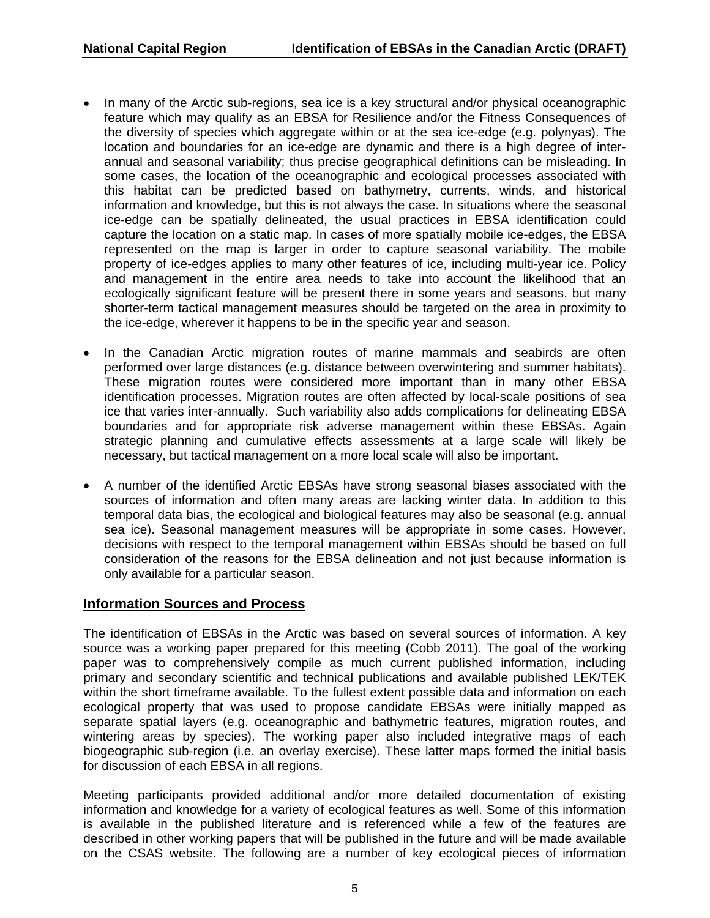- In many of the Arctic sub-regions, sea ice is a key structural and/or physical oceanographic feature which may qualify as an EBSA for Resilience and/or the Fitness Consequences of the diversity of species which aggregate within or at the sea ice-edge (e.g. polynyas). The location and boundaries for an ice-edge are dynamic and there is a high degree of interannual and seasonal variability; thus precise geographical definitions can be misleading. In some cases, the location of the oceanographic and ecological processes associated with this habitat can be predicted based on bathymetry, currents, winds, and historical information and knowledge, but this is not always the case. In situations where the seasonal ice-edge can be spatially delineated, the usual practices in EBSA identification could capture the location on a static map. In cases of more spatially mobile ice-edges, the EBSA represented on the map is larger in order to capture seasonal variability. The mobile property of ice-edges applies to many other features of ice, including multi-year ice. Policy and management in the entire area needs to take into account the likelihood that an ecologically significant feature will be present there in some years and seasons, but many shorter-term tactical management measures should be targeted on the area in proximity to the ice-edge, wherever it happens to be in the specific year and season.
- In the Canadian Arctic migration routes of marine mammals and seabirds are often performed over large distances (e.g. distance between overwintering and summer habitats). These migration routes were considered more important than in many other EBSA identification processes. Migration routes are often affected by local-scale positions of sea ice that varies inter-annually. Such variability also adds complications for delineating EBSA boundaries and for appropriate risk adverse management within these EBSAs. Again strategic planning and cumulative effects assessments at a large scale will likely be necessary, but tactical management on a more local scale will also be important.
- A number of the identified Arctic EBSAs have strong seasonal biases associated with the sources of information and often many areas are lacking winter data. In addition to this temporal data bias, the ecological and biological features may also be seasonal (e.g. annual sea ice). Seasonal management measures will be appropriate in some cases. However, decisions with respect to the temporal management within EBSAs should be based on full consideration of the reasons for the EBSA delineation and not just because information is only available for a particular season.

#### **Information Sources and Process**

The identification of EBSAs in the Arctic was based on several sources of information. A key source was a working paper prepared for this meeting (Cobb 2011). The goal of the working paper was to comprehensively compile as much current published information, including primary and secondary scientific and technical publications and available published LEK/TEK within the short timeframe available. To the fullest extent possible data and information on each ecological property that was used to propose candidate EBSAs were initially mapped as separate spatial layers (e.g. oceanographic and bathymetric features, migration routes, and wintering areas by species). The working paper also included integrative maps of each biogeographic sub-region (i.e. an overlay exercise). These latter maps formed the initial basis for discussion of each EBSA in all regions.

Meeting participants provided additional and/or more detailed documentation of existing information and knowledge for a variety of ecological features as well. Some of this information is available in the published literature and is referenced while a few of the features are described in other working papers that will be published in the future and will be made available on the CSAS website. The following are a number of key ecological pieces of information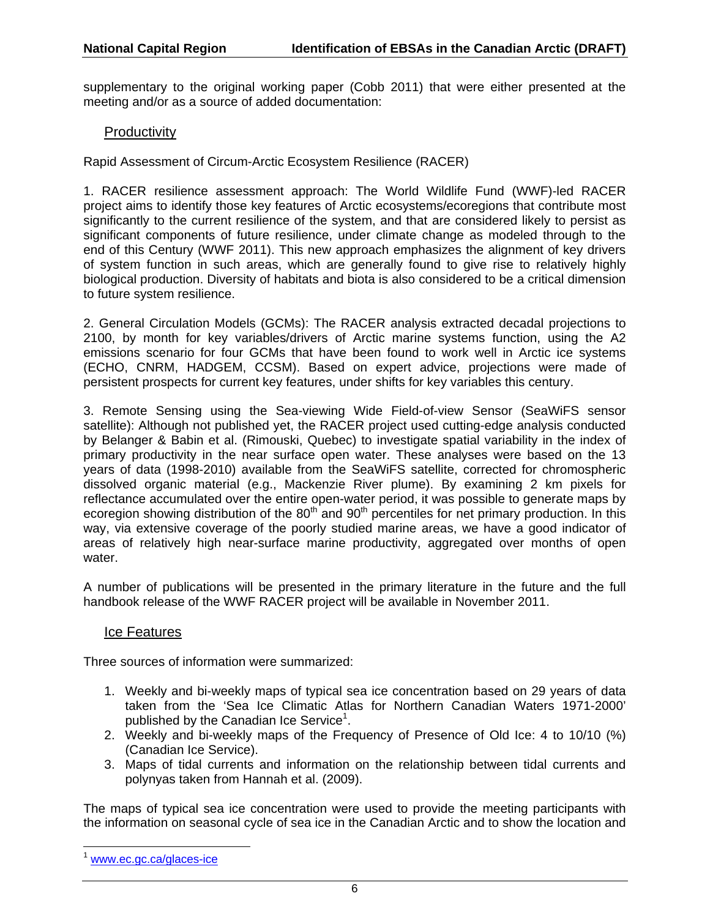supplementary to the original working paper (Cobb 2011) that were either presented at the meeting and/or as a source of added documentation:

### **Productivity**

Rapid Assessment of Circum-Arctic Ecosystem Resilience (RACER)

1. RACER resilience assessment approach: The World Wildlife Fund (WWF)-led RACER project aims to identify those key features of Arctic ecosystems/ecoregions that contribute most significantly to the current resilience of the system, and that are considered likely to persist as significant components of future resilience, under climate change as modeled through to the end of this Century (WWF 2011). This new approach emphasizes the alignment of key drivers of system function in such areas, which are generally found to give rise to relatively highly biological production. Diversity of habitats and biota is also considered to be a critical dimension to future system resilience.

2. General Circulation Models (GCMs): The RACER analysis extracted decadal projections to 2100, by month for key variables/drivers of Arctic marine systems function, using the A2 emissions scenario for four GCMs that have been found to work well in Arctic ice systems (ECHO, CNRM, HADGEM, CCSM). Based on expert advice, projections were made of persistent prospects for current key features, under shifts for key variables this century.

3. Remote Sensing using the Sea-viewing Wide Field-of-view Sensor (SeaWiFS sensor satellite): Although not published yet, the RACER project used cutting-edge analysis conducted by Belanger & Babin et al. (Rimouski, Quebec) to investigate spatial variability in the index of primary productivity in the near surface open water. These analyses were based on the 13 years of data (1998-2010) available from the SeaWiFS satellite, corrected for chromospheric dissolved organic material (e.g., Mackenzie River plume). By examining 2 km pixels for reflectance accumulated over the entire open-water period, it was possible to generate maps by ecoregion showing distribution of the  $80<sup>th</sup>$  and  $90<sup>th</sup>$  percentiles for net primary production. In this way, via extensive coverage of the poorly studied marine areas, we have a good indicator of areas of relatively high near-surface marine productivity, aggregated over months of open water.

A number of publications will be presented in the primary literature in the future and the full handbook release of the WWF RACER project will be available in November 2011.

#### Ice Features

Three sources of information were summarized:

- 1. Weekly and bi-weekly maps of typical sea ice concentration based on 29 years of data taken from the 'Sea Ice Climatic Atlas for Northern Canadian Waters 1971-2000' published by the Canadian Ice Service<sup>1</sup>.
- 2. Weekly and bi-weekly maps of the Frequency of Presence of Old Ice: 4 to 10/10 (%) (Canadian Ice Service).
- 3. Maps of tidal currents and information on the relationship between tidal currents and polynyas taken from Hannah et al. (2009).

The maps of typical sea ice concentration were used to provide the meeting participants with the information on seasonal cycle of sea ice in the Canadian Arctic and to show the location and

-

www.ec.gc.ca/glaces-ice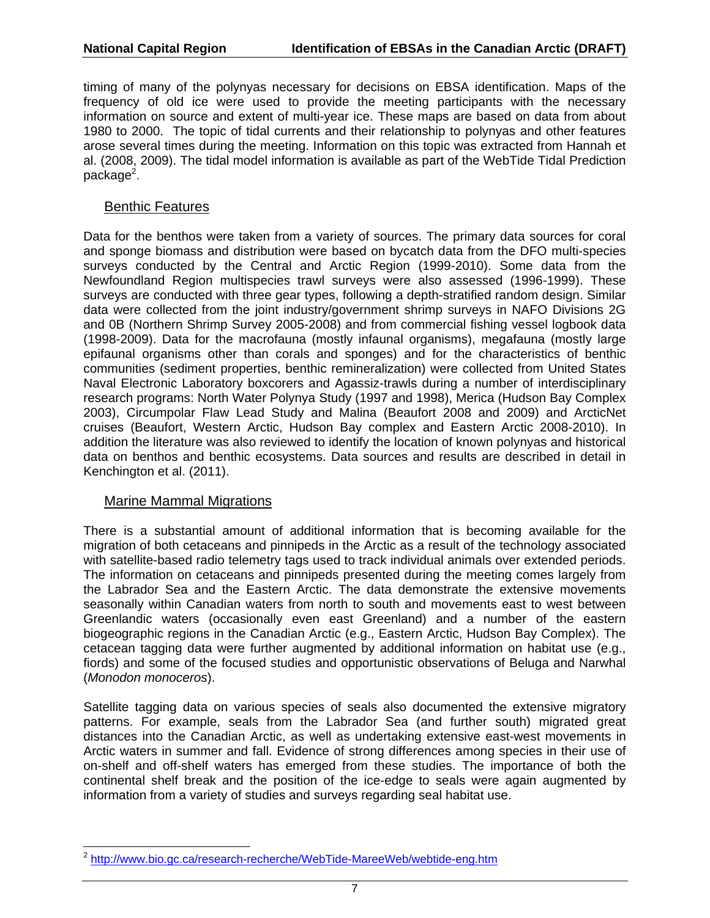timing of many of the polynyas necessary for decisions on EBSA identification. Maps of the frequency of old ice were used to provide the meeting participants with the necessary information on source and extent of multi-year ice. These maps are based on data from about 1980 to 2000. The topic of tidal currents and their relationship to polynyas and other features arose several times during the meeting. Information on this topic was extracted from Hannah et al. (2008, 2009). The tidal model information is available as part of the WebTide Tidal Prediction package<sup>2</sup>.

#### Benthic Features

Data for the benthos were taken from a variety of sources. The primary data sources for coral and sponge biomass and distribution were based on bycatch data from the DFO multi-species surveys conducted by the Central and Arctic Region (1999-2010). Some data from the Newfoundland Region multispecies trawl surveys were also assessed (1996-1999). These surveys are conducted with three gear types, following a depth-stratified random design. Similar data were collected from the joint industry/government shrimp surveys in NAFO Divisions 2G and 0B (Northern Shrimp Survey 2005-2008) and from commercial fishing vessel logbook data (1998-2009). Data for the macrofauna (mostly infaunal organisms), megafauna (mostly large epifaunal organisms other than corals and sponges) and for the characteristics of benthic communities (sediment properties, benthic remineralization) were collected from United States Naval Electronic Laboratory boxcorers and Agassiz-trawls during a number of interdisciplinary research programs: North Water Polynya Study (1997 and 1998), Merica (Hudson Bay Complex 2003), Circumpolar Flaw Lead Study and Malina (Beaufort 2008 and 2009) and ArcticNet cruises (Beaufort, Western Arctic, Hudson Bay complex and Eastern Arctic 2008-2010). In addition the literature was also reviewed to identify the location of known polynyas and historical data on benthos and benthic ecosystems. Data sources and results are described in detail in Kenchington et al. (2011).

#### Marine Mammal Migrations

There is a substantial amount of additional information that is becoming available for the migration of both cetaceans and pinnipeds in the Arctic as a result of the technology associated with satellite-based radio telemetry tags used to track individual animals over extended periods. The information on cetaceans and pinnipeds presented during the meeting comes largely from the Labrador Sea and the Eastern Arctic. The data demonstrate the extensive movements seasonally within Canadian waters from north to south and movements east to west between Greenlandic waters (occasionally even east Greenland) and a number of the eastern biogeographic regions in the Canadian Arctic (e.g., Eastern Arctic, Hudson Bay Complex). The cetacean tagging data were further augmented by additional information on habitat use (e.g., fiords) and some of the focused studies and opportunistic observations of Beluga and Narwhal (*Monodon monoceros*).

Satellite tagging data on various species of seals also documented the extensive migratory patterns. For example, seals from the Labrador Sea (and further south) migrated great distances into the Canadian Arctic, as well as undertaking extensive east-west movements in Arctic waters in summer and fall. Evidence of strong differences among species in their use of on-shelf and off-shelf waters has emerged from these studies. The importance of both the continental shelf break and the position of the ice-edge to seals were again augmented by information from a variety of studies and surveys regarding seal habitat use.

<sup>-</sup><sup>2</sup> http://www.bio.gc.ca/research-recherche/WebTide-MareeWeb/webtide-eng.htm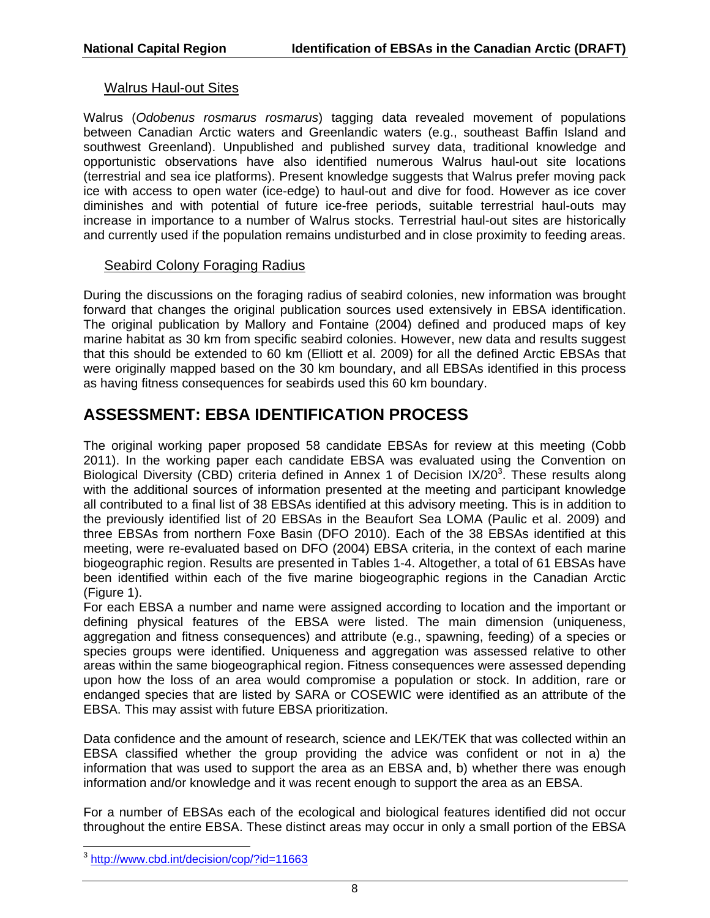#### Walrus Haul-out Sites

Walrus (*Odobenus rosmarus rosmarus*) tagging data revealed movement of populations between Canadian Arctic waters and Greenlandic waters (e.g., southeast Baffin Island and southwest Greenland). Unpublished and published survey data, traditional knowledge and opportunistic observations have also identified numerous Walrus haul-out site locations (terrestrial and sea ice platforms). Present knowledge suggests that Walrus prefer moving pack ice with access to open water (ice-edge) to haul-out and dive for food. However as ice cover diminishes and with potential of future ice-free periods, suitable terrestrial haul-outs may increase in importance to a number of Walrus stocks. Terrestrial haul-out sites are historically and currently used if the population remains undisturbed and in close proximity to feeding areas.

#### Seabird Colony Foraging Radius

During the discussions on the foraging radius of seabird colonies, new information was brought forward that changes the original publication sources used extensively in EBSA identification. The original publication by Mallory and Fontaine (2004) defined and produced maps of key marine habitat as 30 km from specific seabird colonies. However, new data and results suggest that this should be extended to 60 km (Elliott et al. 2009) for all the defined Arctic EBSAs that were originally mapped based on the 30 km boundary, and all EBSAs identified in this process as having fitness consequences for seabirds used this 60 km boundary.

# **ASSESSMENT: EBSA IDENTIFICATION PROCESS**

The original working paper proposed 58 candidate EBSAs for review at this meeting (Cobb 2011). In the working paper each candidate EBSA was evaluated using the Convention on Biological Diversity (CBD) criteria defined in Annex 1 of Decision IX/20<sup>3</sup>. These results along with the additional sources of information presented at the meeting and participant knowledge all contributed to a final list of 38 EBSAs identified at this advisory meeting. This is in addition to the previously identified list of 20 EBSAs in the Beaufort Sea LOMA (Paulic et al. 2009) and three EBSAs from northern Foxe Basin (DFO 2010). Each of the 38 EBSAs identified at this meeting, were re-evaluated based on DFO (2004) EBSA criteria, in the context of each marine biogeographic region. Results are presented in Tables 1-4. Altogether, a total of 61 EBSAs have been identified within each of the five marine biogeographic regions in the Canadian Arctic (Figure 1).

For each EBSA a number and name were assigned according to location and the important or defining physical features of the EBSA were listed. The main dimension (uniqueness, aggregation and fitness consequences) and attribute (e.g., spawning, feeding) of a species or species groups were identified. Uniqueness and aggregation was assessed relative to other areas within the same biogeographical region. Fitness consequences were assessed depending upon how the loss of an area would compromise a population or stock. In addition, rare or endanged species that are listed by SARA or COSEWIC were identified as an attribute of the EBSA. This may assist with future EBSA prioritization.

Data confidence and the amount of research, science and LEK/TEK that was collected within an EBSA classified whether the group providing the advice was confident or not in a) the information that was used to support the area as an EBSA and, b) whether there was enough information and/or knowledge and it was recent enough to support the area as an EBSA.

For a number of EBSAs each of the ecological and biological features identified did not occur throughout the entire EBSA. These distinct areas may occur in only a small portion of the EBSA

<sup>-</sup><sup>3</sup>http://www.cbd.int/decision/cop/?id=11663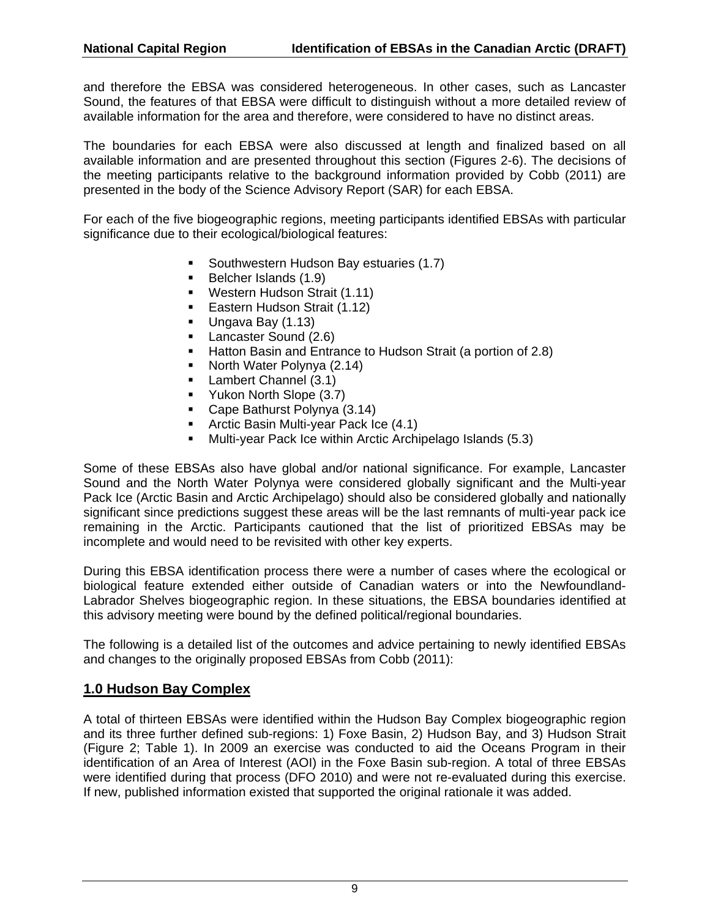and therefore the EBSA was considered heterogeneous. In other cases, such as Lancaster Sound, the features of that EBSA were difficult to distinguish without a more detailed review of available information for the area and therefore, were considered to have no distinct areas.

The boundaries for each EBSA were also discussed at length and finalized based on all available information and are presented throughout this section (Figures 2-6). The decisions of the meeting participants relative to the background information provided by Cobb (2011) are presented in the body of the Science Advisory Report (SAR) for each EBSA.

For each of the five biogeographic regions, meeting participants identified EBSAs with particular significance due to their ecological/biological features:

- Southwestern Hudson Bay estuaries (1.7)
- Belcher Islands (1.9)
- **Western Hudson Strait (1.11)**
- **Eastern Hudson Strait (1.12)**
- Ungava Bay (1.13)
- **Lancaster Sound (2.6)**
- Hatton Basin and Entrance to Hudson Strait (a portion of 2.8)
- North Water Polynya (2.14)
- **Lambert Channel (3.1)**
- **Yukon North Slope (3.7)**
- Cape Bathurst Polynya (3.14)
- **Arctic Basin Multi-year Pack Ice (4.1)**
- Multi-year Pack Ice within Arctic Archipelago Islands (5.3)

Some of these EBSAs also have global and/or national significance. For example, Lancaster Sound and the North Water Polynya were considered globally significant and the Multi-year Pack Ice (Arctic Basin and Arctic Archipelago) should also be considered globally and nationally significant since predictions suggest these areas will be the last remnants of multi-year pack ice remaining in the Arctic. Participants cautioned that the list of prioritized EBSAs may be incomplete and would need to be revisited with other key experts.

During this EBSA identification process there were a number of cases where the ecological or biological feature extended either outside of Canadian waters or into the Newfoundland-Labrador Shelves biogeographic region. In these situations, the EBSA boundaries identified at this advisory meeting were bound by the defined political/regional boundaries.

The following is a detailed list of the outcomes and advice pertaining to newly identified EBSAs and changes to the originally proposed EBSAs from Cobb (2011):

#### **1.0 Hudson Bay Complex**

A total of thirteen EBSAs were identified within the Hudson Bay Complex biogeographic region and its three further defined sub-regions: 1) Foxe Basin, 2) Hudson Bay, and 3) Hudson Strait (Figure 2; Table 1). In 2009 an exercise was conducted to aid the Oceans Program in their identification of an Area of Interest (AOI) in the Foxe Basin sub-region. A total of three EBSAs were identified during that process (DFO 2010) and were not re-evaluated during this exercise. If new, published information existed that supported the original rationale it was added.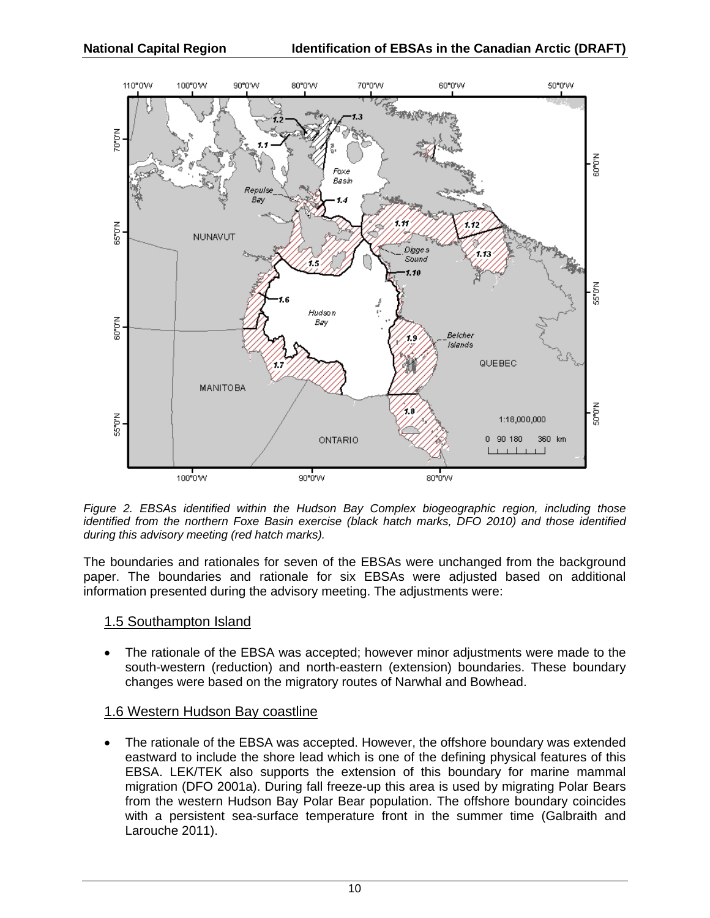

*Figure 2. EBSAs identified within the Hudson Bay Complex biogeographic region, including those identified from the northern Foxe Basin exercise (black hatch marks, DFO 2010) and those identified during this advisory meeting (red hatch marks).* 

The boundaries and rationales for seven of the EBSAs were unchanged from the background paper. The boundaries and rationale for six EBSAs were adjusted based on additional information presented during the advisory meeting. The adjustments were:

#### 1.5 Southampton Island

 The rationale of the EBSA was accepted; however minor adjustments were made to the south-western (reduction) and north-eastern (extension) boundaries. These boundary changes were based on the migratory routes of Narwhal and Bowhead.

#### 1.6 Western Hudson Bay coastline

 The rationale of the EBSA was accepted. However, the offshore boundary was extended eastward to include the shore lead which is one of the defining physical features of this EBSA. LEK/TEK also supports the extension of this boundary for marine mammal migration (DFO 2001a). During fall freeze-up this area is used by migrating Polar Bears from the western Hudson Bay Polar Bear population. The offshore boundary coincides with a persistent sea-surface temperature front in the summer time (Galbraith and Larouche 2011).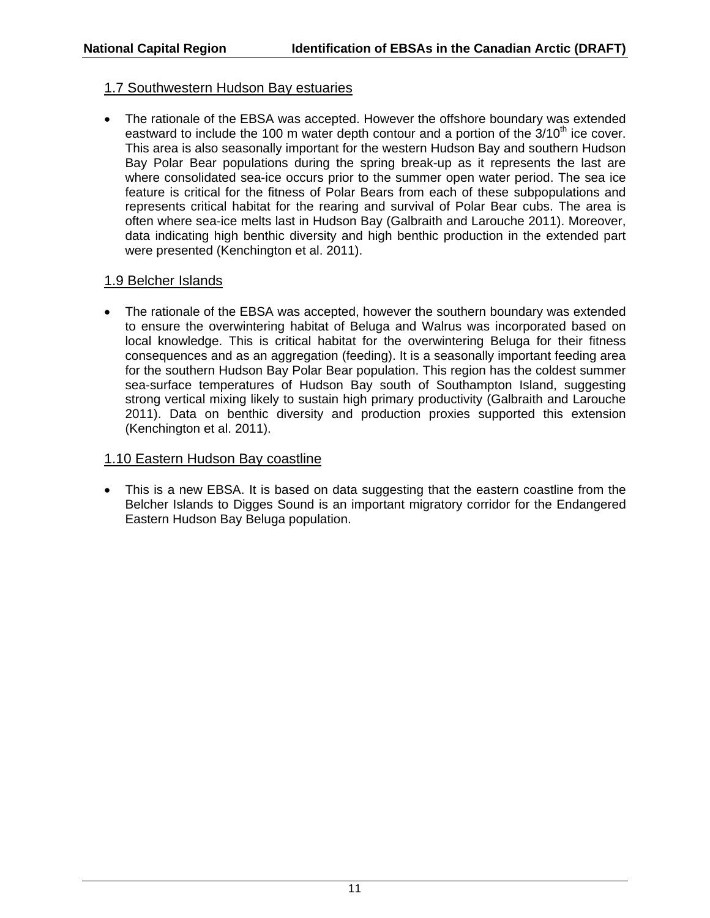#### 1.7 Southwestern Hudson Bay estuaries

• The rationale of the EBSA was accepted. However the offshore boundary was extended eastward to include the 100 m water depth contour and a portion of the  $3/10<sup>th</sup>$  ice cover. This area is also seasonally important for the western Hudson Bay and southern Hudson Bay Polar Bear populations during the spring break-up as it represents the last are where consolidated sea-ice occurs prior to the summer open water period. The sea ice feature is critical for the fitness of Polar Bears from each of these subpopulations and represents critical habitat for the rearing and survival of Polar Bear cubs. The area is often where sea-ice melts last in Hudson Bay (Galbraith and Larouche 2011). Moreover, data indicating high benthic diversity and high benthic production in the extended part were presented (Kenchington et al. 2011).

#### 1.9 Belcher Islands

 The rationale of the EBSA was accepted, however the southern boundary was extended to ensure the overwintering habitat of Beluga and Walrus was incorporated based on local knowledge. This is critical habitat for the overwintering Beluga for their fitness consequences and as an aggregation (feeding). It is a seasonally important feeding area for the southern Hudson Bay Polar Bear population. This region has the coldest summer sea-surface temperatures of Hudson Bay south of Southampton Island, suggesting strong vertical mixing likely to sustain high primary productivity (Galbraith and Larouche 2011). Data on benthic diversity and production proxies supported this extension (Kenchington et al. 2011).

#### 1.10 Eastern Hudson Bay coastline

 This is a new EBSA. It is based on data suggesting that the eastern coastline from the Belcher Islands to Digges Sound is an important migratory corridor for the Endangered Eastern Hudson Bay Beluga population.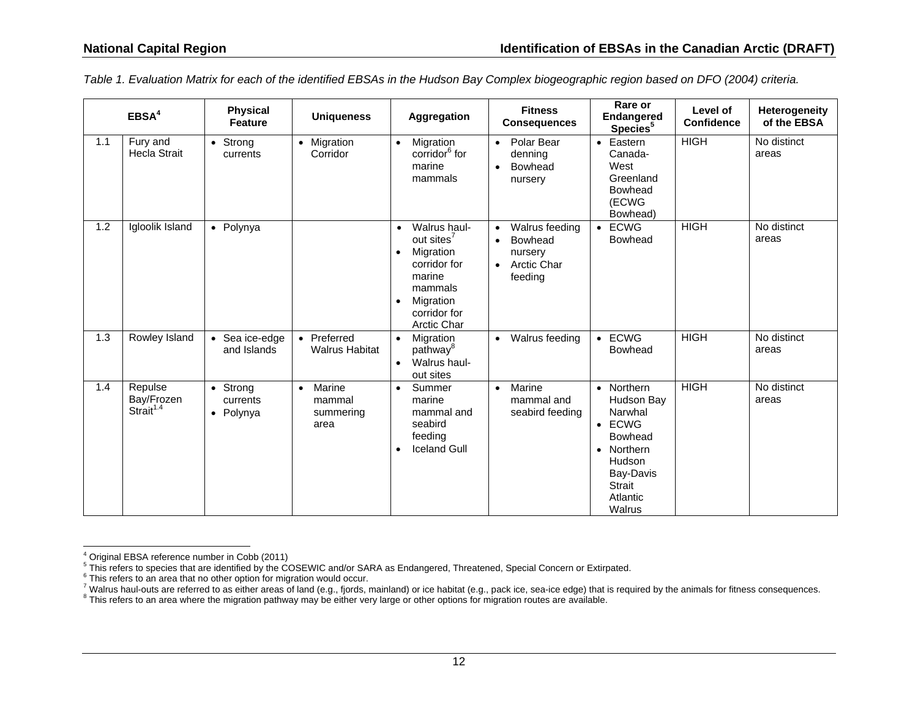|     | EBSA <sup>4</sup>                              | <b>Physical</b><br><b>Feature</b> | <b>Uniqueness</b>                                  | Aggregation                                                                                                                                                    | <b>Fitness</b><br><b>Consequences</b>                                                                        | Rare or<br><b>Endangered</b><br>Species <sup>5</sup>                                                                                                              | Level of<br><b>Confidence</b> | Heterogeneity<br>of the EBSA |
|-----|------------------------------------------------|-----------------------------------|----------------------------------------------------|----------------------------------------------------------------------------------------------------------------------------------------------------------------|--------------------------------------------------------------------------------------------------------------|-------------------------------------------------------------------------------------------------------------------------------------------------------------------|-------------------------------|------------------------------|
| 1.1 | Fury and<br><b>Hecla Strait</b>                | • Strong<br>currents              | • Migration<br>Corridor                            | Migration<br>$\bullet$<br>corridor <sup>6</sup> for<br>marine<br>mammals                                                                                       | Polar Bear<br>$\bullet$<br>denning<br>Bowhead<br>nursery                                                     | Eastern<br>$\bullet$<br>Canada-<br>West<br>Greenland<br>Bowhead<br>(ECWG<br>Bowhead)                                                                              | <b>HIGH</b>                   | No distinct<br>areas         |
| 1.2 | Igloolik Island                                | • Polynya                         |                                                    | Walrus haul-<br>out sites <sup>7</sup><br>Migration<br>$\bullet$<br>corridor for<br>marine<br>mammals<br>Migration<br>$\bullet$<br>corridor for<br>Arctic Char | Walrus feeding<br>$\bullet$<br>Bowhead<br>$\bullet$<br>nursery<br><b>Arctic Char</b><br>$\bullet$<br>feeding | $\bullet$ ECWG<br>Bowhead                                                                                                                                         | <b>HIGH</b>                   | No distinct<br>areas         |
| 1.3 | <b>Rowley Island</b>                           | • Sea ice-edge<br>and Islands     | • Preferred<br><b>Walrus Habitat</b>               | $\bullet$<br>Migration<br>pathway <sup>8</sup><br>Walrus haul-<br>$\bullet$<br>out sites                                                                       | Walrus feeding<br>$\bullet$                                                                                  | $\bullet$ ECWG<br>Bowhead                                                                                                                                         | <b>HIGH</b>                   | No distinct<br>areas         |
| 1.4 | Repulse<br>Bay/Frozen<br>Strait <sup>1.4</sup> | • Strong<br>currents<br>• Polynya | Marine<br>$\bullet$<br>mammal<br>summering<br>area | Summer<br>$\bullet$<br>marine<br>mammal and<br>seabird<br>feeding<br><b>Iceland Gull</b><br>$\bullet$                                                          | Marine<br>$\bullet$<br>mammal and<br>seabird feeding                                                         | • Northern<br>Hudson Bay<br>Narwhal<br><b>ECWG</b><br>$\bullet$<br>Bowhead<br>Northern<br>$\bullet$<br>Hudson<br>Bay-Davis<br><b>Strait</b><br>Atlantic<br>Walrus | <b>HIGH</b>                   | No distinct<br>areas         |

*Table 1. Evaluation Matrix for each of the identified EBSAs in the Hudson Bay Complex biogeographic region based on DFO (2004) criteria.* 

 $4$  Original EBSA reference number in Cobb (2011)

 $^5$  This refers to species that are identified by the COSEWIC and/or SARA as Endangered, Threatened, Special Concern or Extirpated.<br> $^6$  This refers to an area that no other option for migration would occur.

<sup>&</sup>lt;sup>7</sup> Walrus haul-outs are referred to as either areas of land (e.g., fjords, mainland) or ice habitat (e.g., pack ice, sea-ice edge) that is required by the animals for fitness consequences.<br><sup>8</sup> This refers to an area where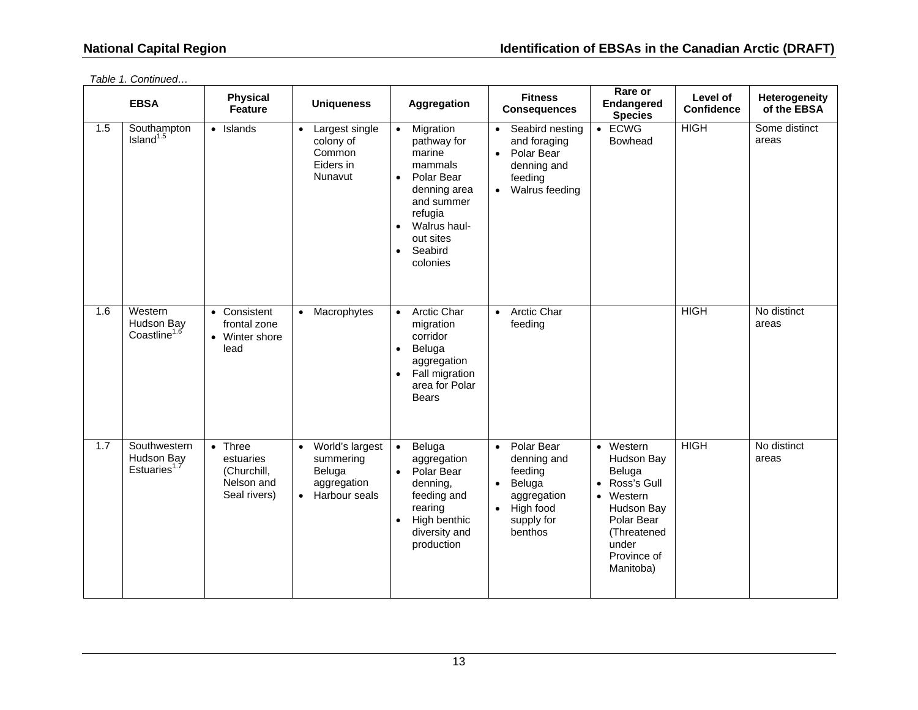|     | <b>EBSA</b>                                       | <b>Physical</b><br><b>Feature</b>                                         | <b>Uniqueness</b>                                                                                | Aggregation                                                                                                                                                                                                  | <b>Fitness</b><br><b>Consequences</b>                                                                                                      | Rare or<br>Endangered<br><b>Species</b>                                                                                                                               | Level of<br><b>Confidence</b> | Heterogeneity<br>of the EBSA |
|-----|---------------------------------------------------|---------------------------------------------------------------------------|--------------------------------------------------------------------------------------------------|--------------------------------------------------------------------------------------------------------------------------------------------------------------------------------------------------------------|--------------------------------------------------------------------------------------------------------------------------------------------|-----------------------------------------------------------------------------------------------------------------------------------------------------------------------|-------------------------------|------------------------------|
| 1.5 | Southampton<br>Island <sup>1.5</sup>              | • Islands                                                                 | Largest single<br>$\bullet$<br>colony of<br>Common<br>Eiders in<br>Nunavut                       | Migration<br>$\bullet$<br>pathway for<br>marine<br>mammals<br>Polar Bear<br>$\bullet$<br>denning area<br>and summer<br>refugia<br>Walrus haul-<br>$\bullet$<br>out sites<br>Seabird<br>$\bullet$<br>colonies | Seabird nesting<br>$\bullet$<br>and foraging<br>Polar Bear<br>$\bullet$<br>denning and<br>feeding<br>Walrus feeding<br>$\bullet$           | $\bullet$ ECWG<br>Bowhead                                                                                                                                             | <b>HIGH</b>                   | Some distinct<br>areas       |
| 1.6 | Western<br>Hudson Bay<br>Coastline <sup>1.6</sup> | • Consistent<br>frontal zone<br>• Winter shore<br>lead                    | • Macrophytes                                                                                    | Arctic Char<br>$\bullet$<br>migration<br>corridor<br>Beluga<br>$\bullet$<br>aggregation<br>Fall migration<br>$\bullet$<br>area for Polar<br>Bears                                                            | Arctic Char<br>$\bullet$<br>feeding                                                                                                        |                                                                                                                                                                       | <b>HIGH</b>                   | No distinct<br>areas         |
| 1.7 | Southwestern<br>Hudson Bay<br>Estuaries $1$       | $\bullet$ Three<br>estuaries<br>(Churchill,<br>Nelson and<br>Seal rivers) | World's largest<br>$\bullet$<br>summering<br>Beluga<br>aggregation<br>Harbour seals<br>$\bullet$ | Beluga<br>$\bullet$<br>aggregation<br>Polar Bear<br>$\bullet$<br>denning,<br>feeding and<br>rearing<br>High benthic<br>$\bullet$<br>diversity and<br>production                                              | Polar Bear<br>$\bullet$<br>denning and<br>feeding<br>Beluga<br>$\bullet$<br>aggregation<br>High food<br>$\bullet$<br>supply for<br>benthos | • Western<br>Hudson Bay<br>Beluga<br>Ross's Gull<br>$\bullet$<br>Western<br>$\bullet$<br>Hudson Bay<br>Polar Bear<br>(Threatened<br>under<br>Province of<br>Manitoba) | <b>HIGH</b>                   | No distinct<br>areas         |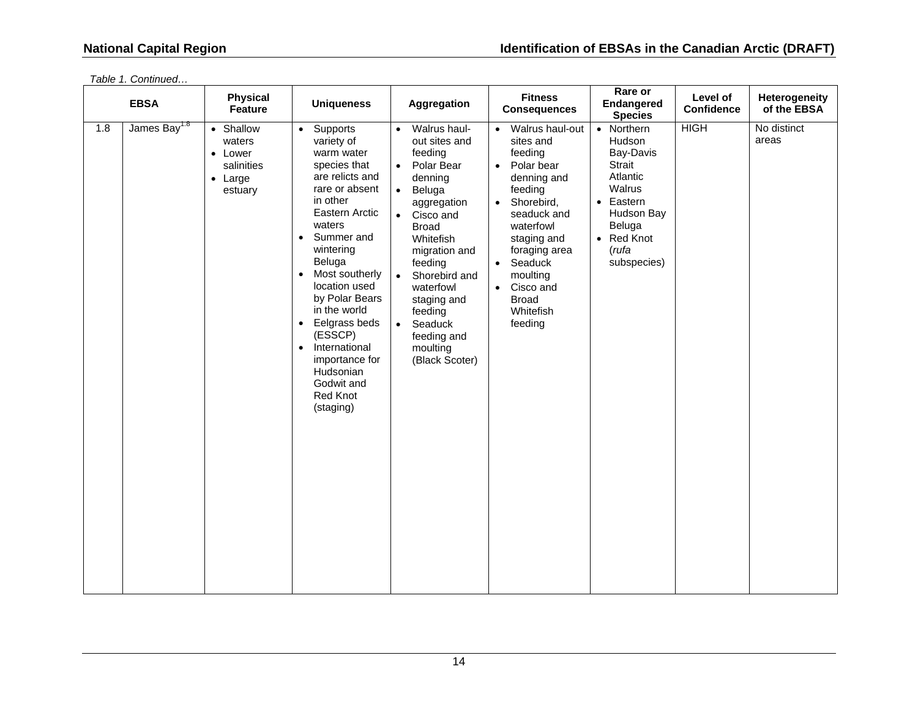|     | <b>EBSA</b>              | <b>Physical</b><br>Feature                                                 |                                                                                                                                                                                                                                                                                                                                                                                                                    | <b>Uniqueness</b><br>Aggregation                                                                                                                                                                                                                                                                                                                               | <b>Fitness</b><br><b>Consequences</b>                                                                                                                                                                                                                                                                  | Rare or<br>Endangered<br><b>Species</b>                                                                                                      | Level of<br><b>Confidence</b> | Heterogeneity<br>of the EBSA |
|-----|--------------------------|----------------------------------------------------------------------------|--------------------------------------------------------------------------------------------------------------------------------------------------------------------------------------------------------------------------------------------------------------------------------------------------------------------------------------------------------------------------------------------------------------------|----------------------------------------------------------------------------------------------------------------------------------------------------------------------------------------------------------------------------------------------------------------------------------------------------------------------------------------------------------------|--------------------------------------------------------------------------------------------------------------------------------------------------------------------------------------------------------------------------------------------------------------------------------------------------------|----------------------------------------------------------------------------------------------------------------------------------------------|-------------------------------|------------------------------|
| 1.8 | James Bay <sup>1.8</sup> | • Shallow<br>waters<br>• Lower<br>salinities<br>$\bullet$ Large<br>estuary | Supports<br>$\bullet$<br>variety of<br>warm water<br>species that<br>are relicts and<br>rare or absent<br>in other<br>Eastern Arctic<br>waters<br>Summer and<br>$\bullet$<br>wintering<br>Beluga<br>Most southerly<br>location used<br>by Polar Bears<br>in the world<br>Eelgrass beds<br>$\bullet$<br>(ESSCP)<br>International<br>$\bullet$<br>importance for<br>Hudsonian<br>Godwit and<br>Red Knot<br>(staging) | Walrus haul-<br>$\bullet$<br>out sites and<br>feeding<br>Polar Bear<br>$\bullet$<br>denning<br>Beluga<br>$\bullet$<br>aggregation<br>Cisco and<br>$\bullet$<br><b>Broad</b><br>Whitefish<br>migration and<br>feeding<br>Shorebird and<br>$\bullet$<br>waterfowl<br>staging and<br>feeding<br>Seaduck<br>$\bullet$<br>feeding and<br>moulting<br>(Black Scoter) | Walrus haul-out<br>$\bullet$<br>sites and<br>feeding<br>Polar bear<br>$\bullet$<br>denning and<br>feeding<br>Shorebird,<br>$\bullet$<br>seaduck and<br>waterfowl<br>staging and<br>foraging area<br>Seaduck<br>$\bullet$<br>moulting<br>Cisco and<br>$\bullet$<br><b>Broad</b><br>Whitefish<br>feeding | • Northern<br>Hudson<br>Bay-Davis<br>Strait<br>Atlantic<br>Walrus<br>• Eastern<br>Hudson Bay<br>Beluga<br>• Red Knot<br>(rufa<br>subspecies) | <b>HIGH</b>                   | No distinct<br>areas         |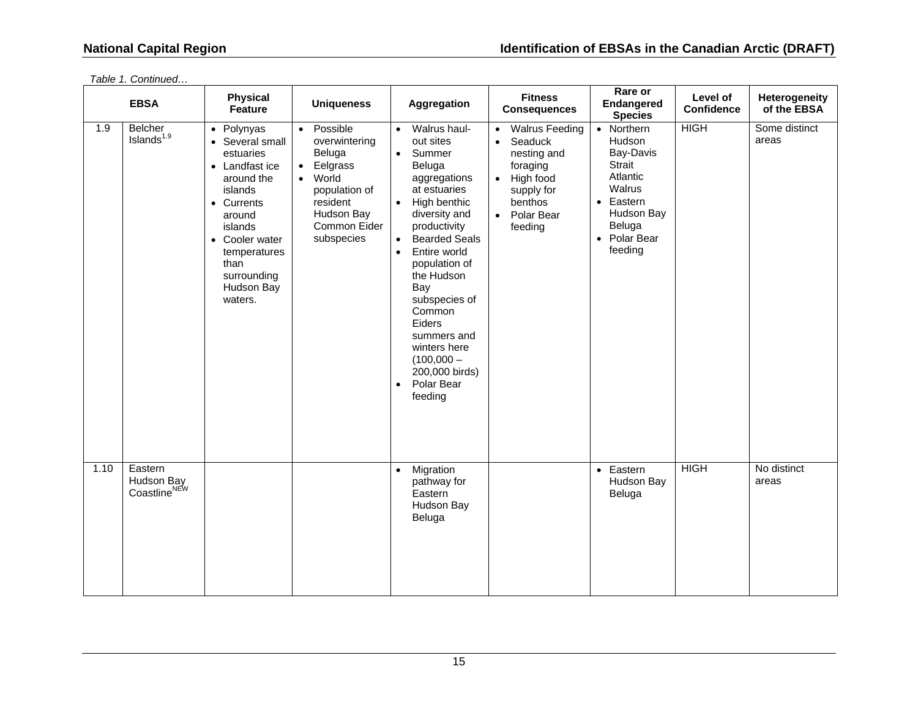|      | <b>EBSA</b>                                       | <b>Physical</b><br>Feature                                                                                                                                                                                 | <b>Uniqueness</b>                                                                                                                                                        | Aggregation                                                                                                                                                                                                                                                                                                                                                                                                               | <b>Fitness</b><br><b>Consequences</b>                                                                                                                               | Rare or<br>Endangered<br><b>Species</b>                                                                                                          | Level of<br><b>Confidence</b> | Heterogeneity<br>of the EBSA |
|------|---------------------------------------------------|------------------------------------------------------------------------------------------------------------------------------------------------------------------------------------------------------------|--------------------------------------------------------------------------------------------------------------------------------------------------------------------------|---------------------------------------------------------------------------------------------------------------------------------------------------------------------------------------------------------------------------------------------------------------------------------------------------------------------------------------------------------------------------------------------------------------------------|---------------------------------------------------------------------------------------------------------------------------------------------------------------------|--------------------------------------------------------------------------------------------------------------------------------------------------|-------------------------------|------------------------------|
| 1.9  | <b>Belcher</b><br>Islands $1.9$                   | • Polynyas<br>• Several small<br>estuaries<br>• Landfast ice<br>around the<br>islands<br>• Currents<br>around<br>islands<br>• Cooler water<br>temperatures<br>than<br>surrounding<br>Hudson Bay<br>waters. | Possible<br>$\bullet$<br>overwintering<br>Beluga<br>Eelgrass<br>$\bullet$<br>World<br>$\bullet$<br>population of<br>resident<br>Hudson Bay<br>Common Eider<br>subspecies | Walrus haul-<br>$\bullet$<br>out sites<br>Summer<br>$\bullet$<br>Beluga<br>aggregations<br>at estuaries<br>High benthic<br>$\bullet$<br>diversity and<br>productivity<br><b>Bearded Seals</b><br>$\bullet$<br>Entire world<br>$\bullet$<br>population of<br>the Hudson<br>Bay<br>subspecies of<br>Common<br>Eiders<br>summers and<br>winters here<br>$(100,000 -$<br>200,000 birds)<br>Polar Bear<br>$\bullet$<br>feeding | <b>Walrus Feeding</b><br>$\bullet$<br>Seaduck<br>$\bullet$<br>nesting and<br>foraging<br>High food<br>$\bullet$<br>supply for<br>benthos<br>• Polar Bear<br>feeding | • Northern<br>Hudson<br>Bay-Davis<br><b>Strait</b><br>Atlantic<br>Walrus<br>$\bullet$ Eastern<br>Hudson Bay<br>Beluga<br>• Polar Bear<br>feeding | <b>HIGH</b>                   | Some distinct<br>areas       |
| 1.10 | Eastern<br>Hudson Bay<br>Coastline <sup>NEW</sup> |                                                                                                                                                                                                            |                                                                                                                                                                          | Migration<br>$\bullet$<br>pathway for<br>Eastern<br>Hudson Bay<br>Beluga                                                                                                                                                                                                                                                                                                                                                  |                                                                                                                                                                     | $\bullet$ Eastern<br>Hudson Bay<br>Beluga                                                                                                        | <b>HIGH</b>                   | No distinct<br>areas         |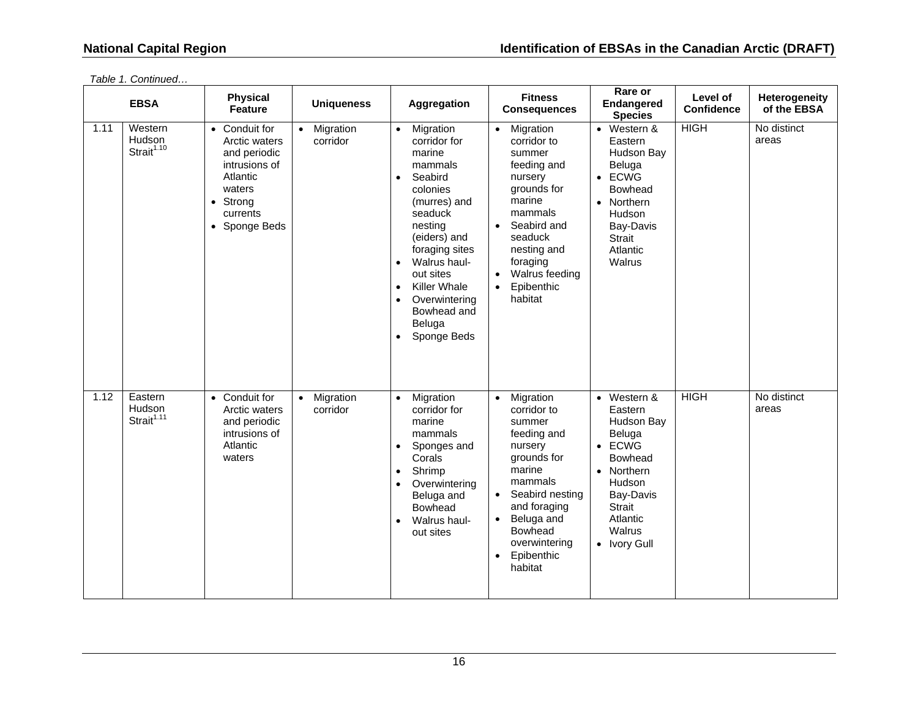|      | <b>EBSA</b>                                 | <b>Physical</b><br><b>Feature</b>                                                                                                      | <b>Uniqueness</b>                  | Aggregation                                                                                                                                                                                                                                                                                                                              | <b>Fitness</b><br><b>Consequences</b>                                                                                                                                                                                                   | Rare or<br>Endangered<br><b>Species</b>                                                                                                                                               | Level of<br><b>Confidence</b> | Heterogeneity<br>of the EBSA |
|------|---------------------------------------------|----------------------------------------------------------------------------------------------------------------------------------------|------------------------------------|------------------------------------------------------------------------------------------------------------------------------------------------------------------------------------------------------------------------------------------------------------------------------------------------------------------------------------------|-----------------------------------------------------------------------------------------------------------------------------------------------------------------------------------------------------------------------------------------|---------------------------------------------------------------------------------------------------------------------------------------------------------------------------------------|-------------------------------|------------------------------|
| 1.11 | Western<br>Hudson<br>Strait <sup>1.10</sup> | • Conduit for<br>Arctic waters<br>and periodic<br>intrusions of<br>Atlantic<br>waters<br>$\bullet$ Strong<br>currents<br>• Sponge Beds | Migration<br>$\bullet$<br>corridor | Migration<br>$\bullet$<br>corridor for<br>marine<br>mammals<br>Seabird<br>$\bullet$<br>colonies<br>(murres) and<br>seaduck<br>nesting<br>(eiders) and<br>foraging sites<br>Walrus haul-<br>$\bullet$<br>out sites<br><b>Killer Whale</b><br>$\bullet$<br>Overwintering<br>$\bullet$<br>Bowhead and<br>Beluga<br>Sponge Beds<br>$\bullet$ | Migration<br>$\bullet$<br>corridor to<br>summer<br>feeding and<br>nursery<br>grounds for<br>marine<br>mammals<br>Seabird and<br>$\bullet$<br>seaduck<br>nesting and<br>foraging<br>Walrus feeding<br>Epibenthic<br>$\bullet$<br>habitat | Western &<br>$\bullet$<br>Eastern<br>Hudson Bay<br>Beluga<br>$\bullet$ ECWG<br><b>Bowhead</b><br>• Northern<br>Hudson<br>Bay-Davis<br><b>Strait</b><br>Atlantic<br>Walrus             | <b>HIGH</b>                   | No distinct<br>areas         |
| 1.12 | Eastern<br>Hudson<br>Strait <sup>1.11</sup> | • Conduit for<br>Arctic waters<br>and periodic<br>intrusions of<br>Atlantic<br>waters                                                  | Migration<br>$\bullet$<br>corridor | Migration<br>$\bullet$<br>corridor for<br>marine<br>mammals<br>Sponges and<br>$\bullet$<br>Corals<br>Shrimp<br>$\bullet$<br>Overwintering<br>$\bullet$<br>Beluga and<br>Bowhead<br>Walrus haul-<br>$\bullet$<br>out sites                                                                                                                | Migration<br>$\bullet$<br>corridor to<br>summer<br>feeding and<br>nursery<br>grounds for<br>marine<br>mammals<br>Seabird nesting<br>and foraging<br>Beluga and<br>$\bullet$<br><b>Bowhead</b><br>overwintering<br>Epibenthic<br>habitat | Western &<br>$\bullet$<br>Eastern<br>Hudson Bay<br>Beluga<br>ECWG<br>$\bullet$<br><b>Bowhead</b><br>• Northern<br>Hudson<br>Bay-Davis<br>Strait<br>Atlantic<br>Walrus<br>• Ivory Gull | <b>HIGH</b>                   | No distinct<br>areas         |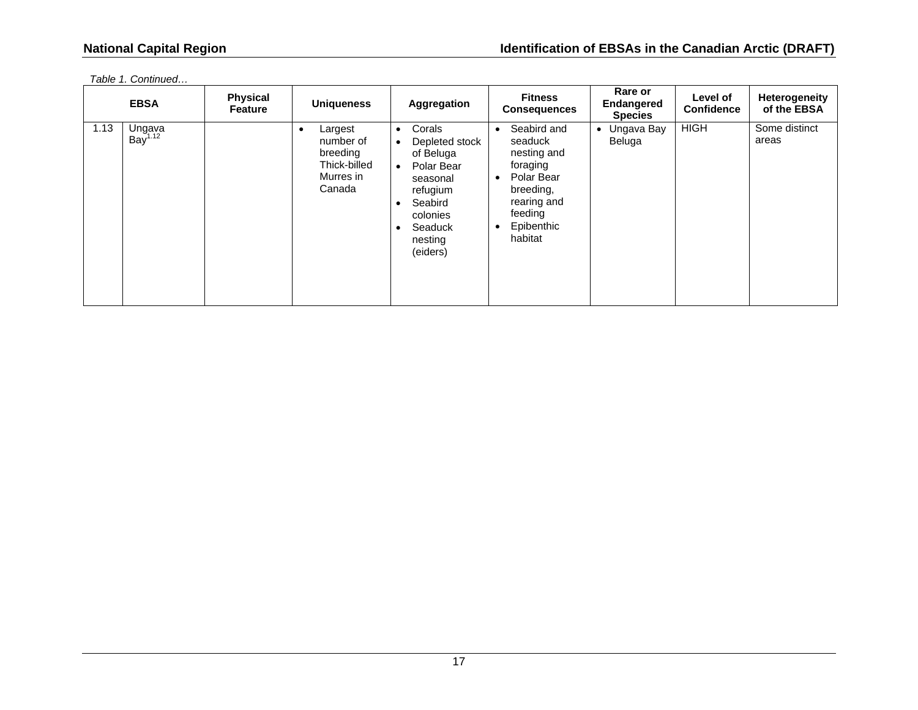|      | <b>EBSA</b>                   | <b>Physical</b><br><b>Feature</b> | <b>Uniqueness</b>                                                       | <b>Aggregation</b>                                                                                                                                                                                    | <b>Fitness</b><br><b>Consequences</b>                                                                                                                                  | Rare or<br><b>Endangered</b><br><b>Species</b> | Level of<br><b>Confidence</b> | Heterogeneity<br>of the EBSA |
|------|-------------------------------|-----------------------------------|-------------------------------------------------------------------------|-------------------------------------------------------------------------------------------------------------------------------------------------------------------------------------------------------|------------------------------------------------------------------------------------------------------------------------------------------------------------------------|------------------------------------------------|-------------------------------|------------------------------|
| 1.13 | Ungava<br>Bay <sup>1.12</sup> |                                   | Largest<br>number of<br>breeding<br>Thick-billed<br>Murres in<br>Canada | Corals<br>$\bullet$<br>Depleted stock<br>$\bullet$<br>of Beluga<br>Polar Bear<br>$\bullet$<br>seasonal<br>refugium<br>Seabird<br>$\bullet$<br>colonies<br>Seaduck<br>$\bullet$<br>nesting<br>(eiders) | Seabird and<br>$\bullet$<br>seaduck<br>nesting and<br>foraging<br>Polar Bear<br>$\bullet$<br>breeding,<br>rearing and<br>feeding<br>Epibenthic<br>$\bullet$<br>habitat | Ungava Bay<br>$\bullet$<br>Beluga              | <b>HIGH</b>                   | Some distinct<br>areas       |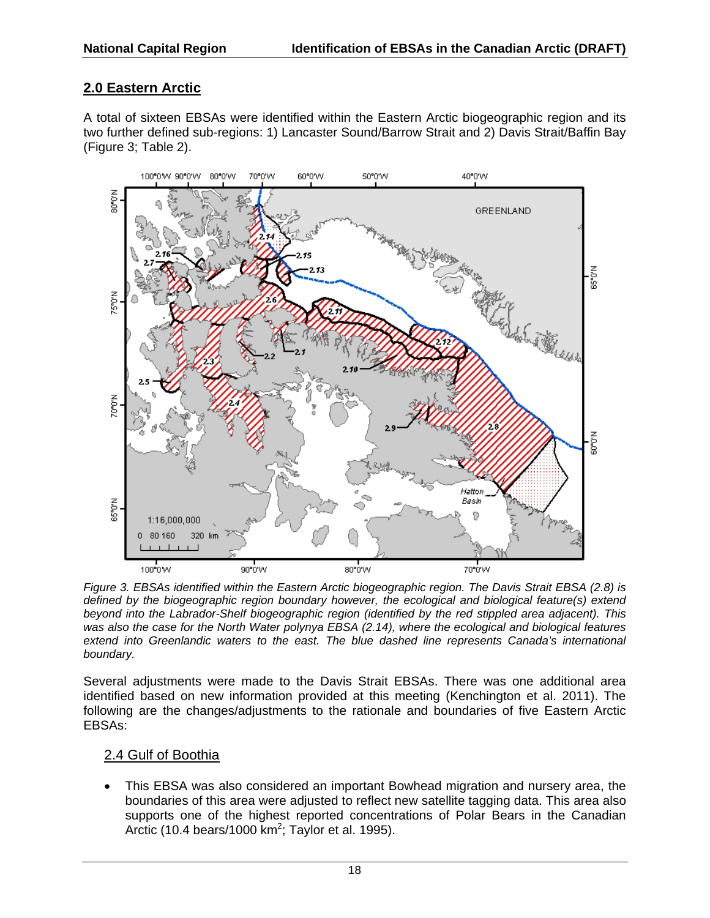## **2.0 Eastern Arctic**

A total of sixteen EBSAs were identified within the Eastern Arctic biogeographic region and its two further defined sub-regions: 1) Lancaster Sound/Barrow Strait and 2) Davis Strait/Baffin Bay (Figure 3; Table 2).



*Figure 3. EBSAs identified within the Eastern Arctic biogeographic region. The Davis Strait EBSA (2.8) is defined by the biogeographic region boundary however, the ecological and biological feature(s) extend beyond into the Labrador-Shelf biogeographic region (identified by the red stippled area adjacent). This was also the case for the North Water polynya EBSA (2.14), where the ecological and biological features extend into Greenlandic waters to the east. The blue dashed line represents Canada's international boundary.* 

Several adjustments were made to the Davis Strait EBSAs. There was one additional area identified based on new information provided at this meeting (Kenchington et al. 2011). The following are the changes/adjustments to the rationale and boundaries of five Eastern Arctic EBSAs:

## 2.4 Gulf of Boothia

 This EBSA was also considered an important Bowhead migration and nursery area, the boundaries of this area were adjusted to reflect new satellite tagging data. This area also supports one of the highest reported concentrations of Polar Bears in the Canadian Arctic (10.4 bears/1000  $km^2$ ; Taylor et al. 1995).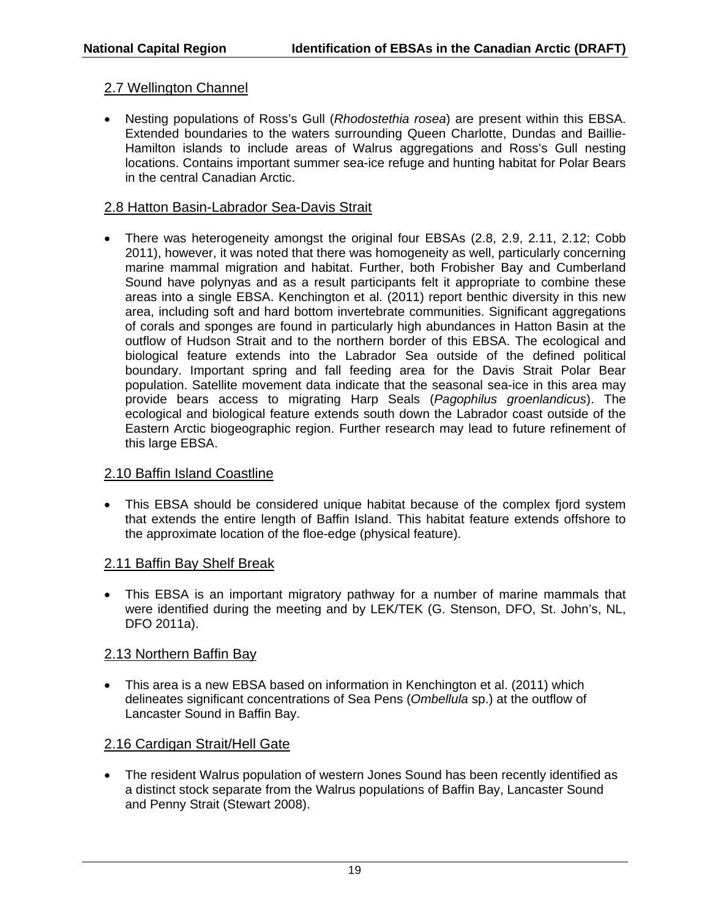### 2.7 Wellington Channel

 Nesting populations of Ross's Gull (*Rhodostethia rosea*) are present within this EBSA. Extended boundaries to the waters surrounding Queen Charlotte, Dundas and Baillie-Hamilton islands to include areas of Walrus aggregations and Ross's Gull nesting locations. Contains important summer sea-ice refuge and hunting habitat for Polar Bears in the central Canadian Arctic.

#### 2.8 Hatton Basin-Labrador Sea-Davis Strait

• There was heterogeneity amongst the original four EBSAs (2.8, 2.9, 2.11, 2.12; Cobb 2011), however, it was noted that there was homogeneity as well, particularly concerning marine mammal migration and habitat. Further, both Frobisher Bay and Cumberland Sound have polynyas and as a result participants felt it appropriate to combine these areas into a single EBSA. Kenchington et al. (2011) report benthic diversity in this new area, including soft and hard bottom invertebrate communities. Significant aggregations of corals and sponges are found in particularly high abundances in Hatton Basin at the outflow of Hudson Strait and to the northern border of this EBSA. The ecological and biological feature extends into the Labrador Sea outside of the defined political boundary. Important spring and fall feeding area for the Davis Strait Polar Bear population. Satellite movement data indicate that the seasonal sea-ice in this area may provide bears access to migrating Harp Seals (*Pagophilus groenlandicus*). The ecological and biological feature extends south down the Labrador coast outside of the Eastern Arctic biogeographic region. Further research may lead to future refinement of this large EBSA.

#### 2.10 Baffin Island Coastline

 This EBSA should be considered unique habitat because of the complex fjord system that extends the entire length of Baffin Island. This habitat feature extends offshore to the approximate location of the floe-edge (physical feature).

#### 2.11 Baffin Bay Shelf Break

 This EBSA is an important migratory pathway for a number of marine mammals that were identified during the meeting and by LEK/TEK (G. Stenson, DFO, St. John's, NL, DFO 2011a).

#### 2.13 Northern Baffin Bay

 This area is a new EBSA based on information in Kenchington et al. (2011) which delineates significant concentrations of Sea Pens (*Ombellula* sp.) at the outflow of Lancaster Sound in Baffin Bay.

## 2.16 Cardigan Strait/Hell Gate

 The resident Walrus population of western Jones Sound has been recently identified as a distinct stock separate from the Walrus populations of Baffin Bay, Lancaster Sound and Penny Strait (Stewart 2008).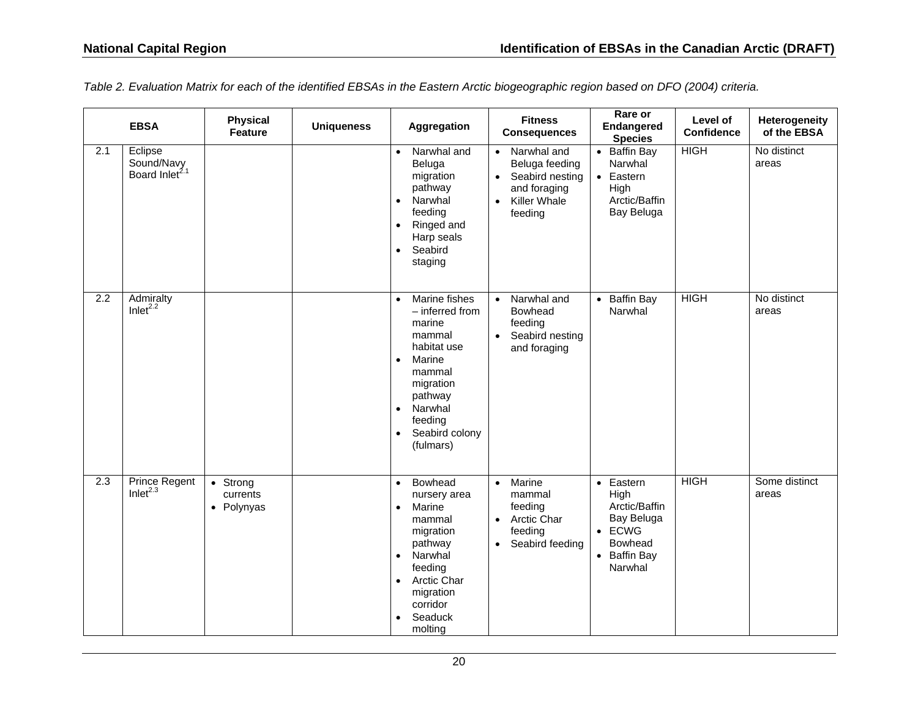*Table 2. Evaluation Matrix for each of the identified EBSAs in the Eastern Arctic biogeographic region based on DFO (2004) criteria.* 

|                  | <b>EBSA</b>                                         | <b>Physical</b><br><b>Feature</b>                     | <b>Uniqueness</b> | Aggregation                                                                                                                                                                                                              | <b>Fitness</b><br><b>Consequences</b>                                                                                                     | Rare or<br>Endangered<br><b>Species</b>                                                                          | Level of<br><b>Confidence</b> | Heterogeneity<br>of the EBSA |
|------------------|-----------------------------------------------------|-------------------------------------------------------|-------------------|--------------------------------------------------------------------------------------------------------------------------------------------------------------------------------------------------------------------------|-------------------------------------------------------------------------------------------------------------------------------------------|------------------------------------------------------------------------------------------------------------------|-------------------------------|------------------------------|
| 2.1              | Eclipse<br>Sound/Navy<br>Board Inlet <sup>2.1</sup> |                                                       |                   | Narwhal and<br>$\bullet$<br>Beluga<br>migration<br>pathway<br>Narwhal<br>$\bullet$<br>feeding<br>Ringed and<br>$\bullet$<br>Harp seals<br>Seabird<br>$\bullet$<br>staging                                                | Narwhal and<br>$\bullet$<br>Beluga feeding<br>Seabird nesting<br>$\bullet$<br>and foraging<br><b>Killer Whale</b><br>$\bullet$<br>feeding | • Baffin Bay<br>Narwhal<br>• Eastern<br>High<br>Arctic/Baffin<br>Bay Beluga                                      | <b>HIGH</b>                   | No distinct<br>areas         |
| $\overline{2.2}$ | Admiralty<br>Inlet <sup>2.2</sup>                   |                                                       |                   | Marine fishes<br>$\bullet$<br>- inferred from<br>marine<br>mammal<br>habitat use<br>Marine<br>$\bullet$<br>mammal<br>migration<br>pathway<br>Narwhal<br>$\bullet$<br>feeding<br>Seabird colony<br>$\bullet$<br>(fulmars) | Narwhal and<br>$\bullet$<br>Bowhead<br>feeding<br>Seabird nesting<br>$\bullet$<br>and foraging                                            | • Baffin Bay<br>Narwhal                                                                                          | <b>HIGH</b>                   | No distinct<br>areas         |
| 2.3              | <b>Prince Regent</b><br>Inlet $^{2.3}$              | $\overline{\bullet}$ Strong<br>currents<br>• Polynyas |                   | Bowhead<br>$\bullet$<br>nursery area<br>Marine<br>$\bullet$<br>mammal<br>migration<br>pathway<br>Narwhal<br>$\bullet$<br>feeding<br>Arctic Char<br>$\bullet$<br>migration<br>corridor<br>Seaduck<br>$\bullet$<br>molting | Marine<br>$\bullet$<br>mammal<br>feeding<br>• Arctic Char<br>feeding<br>Seabird feeding<br>$\bullet$                                      | $\bullet$ Eastern<br>High<br>Arctic/Baffin<br>Bay Beluga<br>$\bullet$ ECWG<br>Bowhead<br>• Baffin Bay<br>Narwhal | <b>HIGH</b>                   | Some distinct<br>areas       |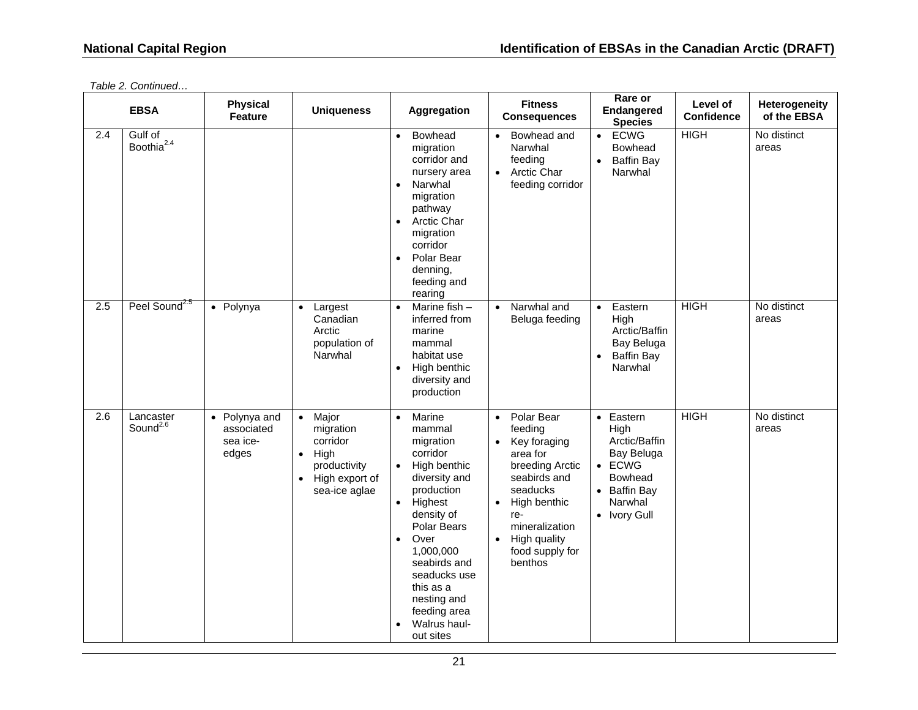|     | <b>EBSA</b>                       | <b>Physical</b><br><b>Feature</b>                | <b>Uniqueness</b>                                                                                                     | Aggregation                                                                                                                                                                                                                                                                                                        | <b>Fitness</b><br><b>Consequences</b>                                                                                                                                                                                                       | Rare or<br>Endangered<br><b>Species</b>                                                                                         | Level of<br><b>Confidence</b> | Heterogeneity<br>of the EBSA |
|-----|-----------------------------------|--------------------------------------------------|-----------------------------------------------------------------------------------------------------------------------|--------------------------------------------------------------------------------------------------------------------------------------------------------------------------------------------------------------------------------------------------------------------------------------------------------------------|---------------------------------------------------------------------------------------------------------------------------------------------------------------------------------------------------------------------------------------------|---------------------------------------------------------------------------------------------------------------------------------|-------------------------------|------------------------------|
| 2.4 | Gulf of<br>Boothia <sup>2.4</sup> |                                                  |                                                                                                                       | <b>Bowhead</b><br>$\bullet$<br>migration<br>corridor and<br>nursery area<br>Narwhal<br>$\bullet$<br>migration<br>pathway<br>Arctic Char<br>$\bullet$<br>migration<br>corridor<br>Polar Bear<br>$\bullet$<br>denning,<br>feeding and<br>rearing                                                                     | Bowhead and<br>$\bullet$<br>Narwhal<br>feeding<br>• Arctic Char<br>feeding corridor                                                                                                                                                         | <b>ECWG</b><br>$\bullet$<br>Bowhead<br><b>Baffin Bay</b><br>$\bullet$<br>Narwhal                                                | <b>HIGH</b>                   | No distinct<br>areas         |
| 2.5 | Peel Sound <sup>2.5</sup>         | • Polynya                                        | Largest<br>$\bullet$<br>Canadian<br>Arctic<br>population of<br>Narwhal                                                | Marine fish -<br>$\bullet$<br>inferred from<br>marine<br>mammal<br>habitat use<br>High benthic<br>$\bullet$<br>diversity and<br>production                                                                                                                                                                         | Narwhal and<br>$\bullet$<br>Beluga feeding                                                                                                                                                                                                  | Eastern<br>$\bullet$<br>High<br>Arctic/Baffin<br>Bay Beluga<br><b>Baffin Bay</b><br>Narwhal                                     | <b>HIGH</b>                   | No distinct<br>areas         |
| 2.6 | Lancaster<br>Sound <sup>2.6</sup> | • Polynya and<br>associated<br>sea ice-<br>edges | • Major<br>migration<br>corridor<br>High<br>$\bullet$<br>productivity<br>High export of<br>$\bullet$<br>sea-ice aglae | Marine<br>$\bullet$<br>mammal<br>migration<br>corridor<br>High benthic<br>$\bullet$<br>diversity and<br>production<br>Highest<br>$\bullet$<br>density of<br>Polar Bears<br>Over<br>1,000,000<br>seabirds and<br>seaducks use<br>this as a<br>nesting and<br>feeding area<br>Walrus haul-<br>$\bullet$<br>out sites | Polar Bear<br>$\bullet$<br>feeding<br>Key foraging<br>$\bullet$<br>area for<br>breeding Arctic<br>seabirds and<br>seaducks<br>High benthic<br>$\bullet$<br>re-<br>mineralization<br>High quality<br>$\bullet$<br>food supply for<br>benthos | • Eastern<br>High<br>Arctic/Baffin<br>Bay Beluga<br>$\bullet$ ECWG<br><b>Bowhead</b><br>• Baffin Bay<br>Narwhal<br>• Ivory Gull | <b>HIGH</b>                   | No distinct<br>areas         |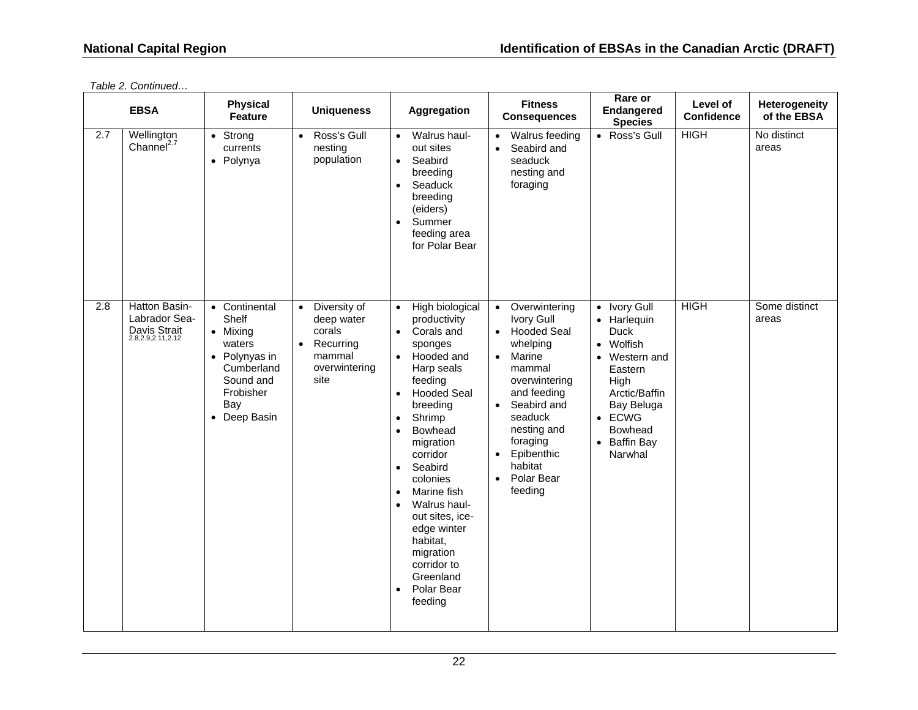| <b>EBSA</b> |                                                                     | <b>Physical</b><br><b>Feature</b>                                                                                            | <b>Uniqueness</b><br>Aggregation                                                                               | <b>Fitness</b><br><b>Consequences</b>                                                                                                                                                                                                                                                                                                                                                                                                                                                   | Rare or<br>Endangered<br><b>Species</b>                                                                                                                                                                                                                                                     | Level of<br><b>Confidence</b>                                                                                                                                                                            | Heterogeneity<br>of the EBSA |                        |
|-------------|---------------------------------------------------------------------|------------------------------------------------------------------------------------------------------------------------------|----------------------------------------------------------------------------------------------------------------|-----------------------------------------------------------------------------------------------------------------------------------------------------------------------------------------------------------------------------------------------------------------------------------------------------------------------------------------------------------------------------------------------------------------------------------------------------------------------------------------|---------------------------------------------------------------------------------------------------------------------------------------------------------------------------------------------------------------------------------------------------------------------------------------------|----------------------------------------------------------------------------------------------------------------------------------------------------------------------------------------------------------|------------------------------|------------------------|
| 2.7         | Wellington<br>Channel <sup>2.7</sup>                                | • Strong<br>currents<br>• Polynya                                                                                            | Ross's Gull<br>nesting<br>population                                                                           | Walrus haul-<br>$\bullet$<br>out sites<br>Seabird<br>$\bullet$<br>breeding<br>Seaduck<br>$\bullet$<br>breeding<br>(eiders)<br>Summer<br>$\bullet$<br>feeding area<br>for Polar Bear                                                                                                                                                                                                                                                                                                     | Walrus feeding<br>Seabird and<br>$\bullet$<br>seaduck<br>nesting and<br>foraging                                                                                                                                                                                                            | • Ross's Gull                                                                                                                                                                                            | <b>HIGH</b>                  | No distinct<br>areas   |
| 2.8         | Hatton Basin-<br>Labrador Sea-<br>Davis Strait<br>2.8,2.9,2.11,2.12 | • Continental<br>Shelf<br>• Mixing<br>waters<br>• Polynyas in<br>Cumberland<br>Sound and<br>Frobisher<br>Bay<br>• Deep Basin | Diversity of<br>$\bullet$<br>deep water<br>corals<br>Recurring<br>$\bullet$<br>mammal<br>overwintering<br>site | High biological<br>$\bullet$<br>productivity<br>Corals and<br>$\bullet$<br>sponges<br>Hooded and<br>$\bullet$<br>Harp seals<br>feeding<br><b>Hooded Seal</b><br>$\bullet$<br>breeding<br>Shrimp<br>$\bullet$<br>Bowhead<br>$\bullet$<br>migration<br>corridor<br>Seabird<br>$\bullet$<br>colonies<br>Marine fish<br>$\bullet$<br>Walrus haul-<br>$\bullet$<br>out sites, ice-<br>edge winter<br>habitat,<br>migration<br>corridor to<br>Greenland<br>Polar Bear<br>$\bullet$<br>feeding | Overwintering<br>$\bullet$<br><b>Ivory Gull</b><br>• Hooded Seal<br>whelping<br>Marine<br>$\bullet$<br>mammal<br>overwintering<br>and feeding<br>Seabird and<br>$\bullet$<br>seaduck<br>nesting and<br>foraging<br>Epibenthic<br>$\bullet$<br>habitat<br>Polar Bear<br>$\bullet$<br>feeding | • Ivory Gull<br>• Harlequin<br><b>Duck</b><br>Wolfish<br>$\bullet$<br>Western and<br>$\bullet$<br>Eastern<br>High<br>Arctic/Baffin<br>Bay Beluga<br>$\bullet$ ECWG<br>Bowhead<br>• Baffin Bay<br>Narwhal | <b>HIGH</b>                  | Some distinct<br>areas |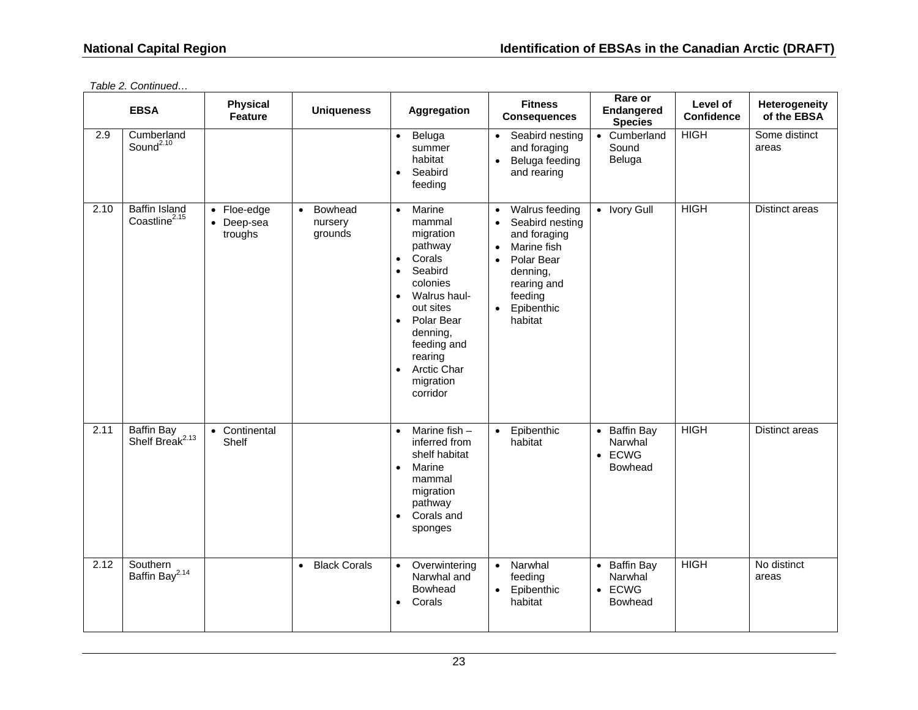|      | <b>Physical</b><br><b>EBSA</b><br><b>Uniqueness</b><br>Aggregation<br><b>Feature</b><br>Cumberland<br>Beluga<br>$\bullet$ |                                              | <b>Fitness</b><br><b>Consequences</b>      | Rare or<br>Endangered<br><b>Species</b>                                                                                                                                                                                                                                                 | Level of<br><b>Confidence</b>                                                                                                                                                                                  | Heterogeneity<br>of the EBSA                         |             |                        |
|------|---------------------------------------------------------------------------------------------------------------------------|----------------------------------------------|--------------------------------------------|-----------------------------------------------------------------------------------------------------------------------------------------------------------------------------------------------------------------------------------------------------------------------------------------|----------------------------------------------------------------------------------------------------------------------------------------------------------------------------------------------------------------|------------------------------------------------------|-------------|------------------------|
| 2.9  | Sound <sup>2.10</sup>                                                                                                     |                                              |                                            | summer<br>habitat<br>Seabird<br>$\bullet$<br>feeding                                                                                                                                                                                                                                    | Seabird nesting<br>$\bullet$<br>and foraging<br>Beluga feeding<br>$\bullet$<br>and rearing                                                                                                                     | • Cumberland<br>Sound<br>Beluga                      | <b>HIGH</b> | Some distinct<br>areas |
| 2.10 | <b>Baffin Island</b><br>Coastline <sup>2.15</sup>                                                                         | $\bullet$ Floe-edge<br>• Deep-sea<br>troughs | Bowhead<br>$\bullet$<br>nursery<br>grounds | Marine<br>$\bullet$<br>mammal<br>migration<br>pathway<br>Corals<br>$\bullet$<br>Seabird<br>$\bullet$<br>colonies<br>Walrus haul-<br>$\bullet$<br>out sites<br>Polar Bear<br>$\bullet$<br>denning,<br>feeding and<br>rearing<br><b>Arctic Char</b><br>$\bullet$<br>migration<br>corridor | Walrus feeding<br>$\bullet$<br>Seabird nesting<br>$\bullet$<br>and foraging<br>Marine fish<br>$\bullet$<br>Polar Bear<br>$\bullet$<br>denning,<br>rearing and<br>feeding<br>Epibenthic<br>$\bullet$<br>habitat | • Ivory Gull                                         | <b>HIGH</b> | Distinct areas         |
| 2.11 | <b>Baffin Bay</b><br>Shelf Break <sup>2.13</sup>                                                                          | • Continental<br>Shelf                       |                                            | Marine fish $-$<br>$\bullet$<br>inferred from<br>shelf habitat<br>Marine<br>$\bullet$<br>mammal<br>migration<br>pathway<br>Corals and<br>sponges                                                                                                                                        | Epibenthic<br>$\bullet$<br>habitat                                                                                                                                                                             | • Baffin Bay<br>Narwhal<br>$\bullet$ ECWG<br>Bowhead | <b>HIGH</b> | Distinct areas         |
| 2.12 | Southern<br>Baffin Bay <sup>2.14</sup>                                                                                    |                                              | <b>Black Corals</b><br>$\bullet$           | Overwintering<br>$\bullet$<br>Narwhal and<br>Bowhead<br>Corals<br>$\bullet$                                                                                                                                                                                                             | Narwhal<br>$\bullet$<br>feeding<br>Epibenthic<br>$\bullet$<br>habitat                                                                                                                                          | • Baffin Bay<br>Narwhal<br>$\bullet$ ECWG<br>Bowhead | <b>HIGH</b> | No distinct<br>areas   |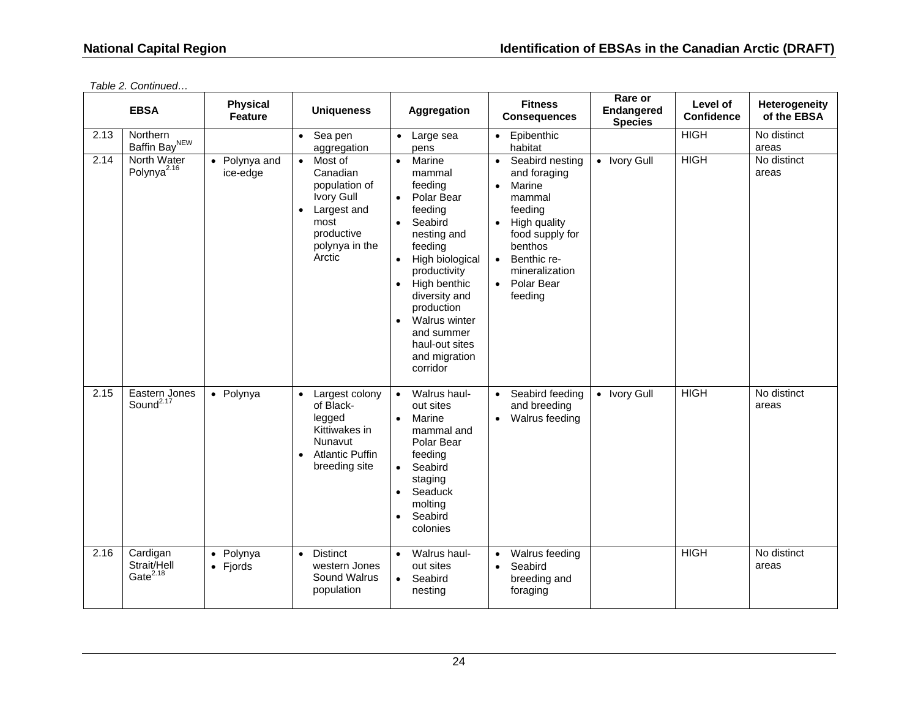|      | <b>EBSA</b>                               | <b>Physical</b><br><b>Feature</b> | <b>Uniqueness</b>                                                                                                                | Aggregation                                                                                                                                                                                                                                                                                                   | <b>Fitness</b><br><b>Consequences</b>                                                                                                                                                                                                   | Rare or<br><b>Endangered</b><br><b>Species</b> | Level of<br><b>Confidence</b> | Heterogeneity<br>of the EBSA |
|------|-------------------------------------------|-----------------------------------|----------------------------------------------------------------------------------------------------------------------------------|---------------------------------------------------------------------------------------------------------------------------------------------------------------------------------------------------------------------------------------------------------------------------------------------------------------|-----------------------------------------------------------------------------------------------------------------------------------------------------------------------------------------------------------------------------------------|------------------------------------------------|-------------------------------|------------------------------|
| 2.13 | Northern<br>Baffin Bay <sup>NEW</sup>     |                                   | $\bullet$ Seapen<br>aggregation                                                                                                  | $\bullet$<br>Large sea<br>pens                                                                                                                                                                                                                                                                                | Epibenthic<br>$\bullet$<br>habitat                                                                                                                                                                                                      |                                                | <b>HIGH</b>                   | No distinct<br>areas         |
| 2.14 | North Water<br>Polynya <sup>2.16</sup>    | • Polynya and<br>ice-edge         | Most of<br>$\bullet$<br>Canadian<br>population of<br>Ivory Gull<br>Largest and<br>most<br>productive<br>polynya in the<br>Arctic | Marine<br>$\bullet$<br>mammal<br>feedina<br>Polar Bear<br>$\bullet$<br>feeding<br>Seabird<br>$\bullet$<br>nesting and<br>feeding<br>High biological<br>productivity<br>High benthic<br>$\bullet$<br>diversity and<br>production<br>Walrus winter<br>and summer<br>haul-out sites<br>and migration<br>corridor | Seabird nesting<br>$\bullet$<br>and foraging<br>$\bullet$<br>Marine<br>mammal<br>feeding<br>High quality<br>$\bullet$<br>food supply for<br>benthos<br>Benthic re-<br>$\bullet$<br>mineralization<br>Polar Bear<br>$\bullet$<br>feeding | • Ivory Gull                                   | <b>HIGH</b>                   | No distinct<br>areas         |
| 2.15 | Eastern Jones<br>Sound <sup>2.17</sup>    | • Polynya                         | Largest colony<br>of Black-<br>legged<br>Kittiwakes in<br>Nunavut<br><b>Atlantic Puffin</b><br>$\bullet$<br>breeding site        | Walrus haul-<br>$\bullet$<br>out sites<br>Marine<br>$\bullet$<br>mammal and<br>Polar Bear<br>feeding<br>Seabird<br>$\bullet$<br>staging<br>Seaduck<br>$\bullet$<br>molting<br>Seabird<br>$\bullet$<br>colonies                                                                                                | Seabird feeding<br>$\bullet$<br>and breeding<br>Walrus feeding<br>$\bullet$                                                                                                                                                             | • Ivory Gull                                   | <b>HIGH</b>                   | No distinct<br>areas         |
| 2.16 | Cardigan<br>Strait/Hell<br>Gate $^{2.18}$ | • Polynya<br>$\bullet$ Fjords     | <b>Distinct</b><br>$\bullet$<br>western Jones<br>Sound Walrus<br>population                                                      | Walrus haul-<br>out sites<br>Seabird<br>$\bullet$<br>nesting                                                                                                                                                                                                                                                  | Walrus feeding<br>$\bullet$<br>Seabird<br>$\bullet$<br>breeding and<br>foraging                                                                                                                                                         |                                                | <b>HIGH</b>                   | No distinct<br>areas         |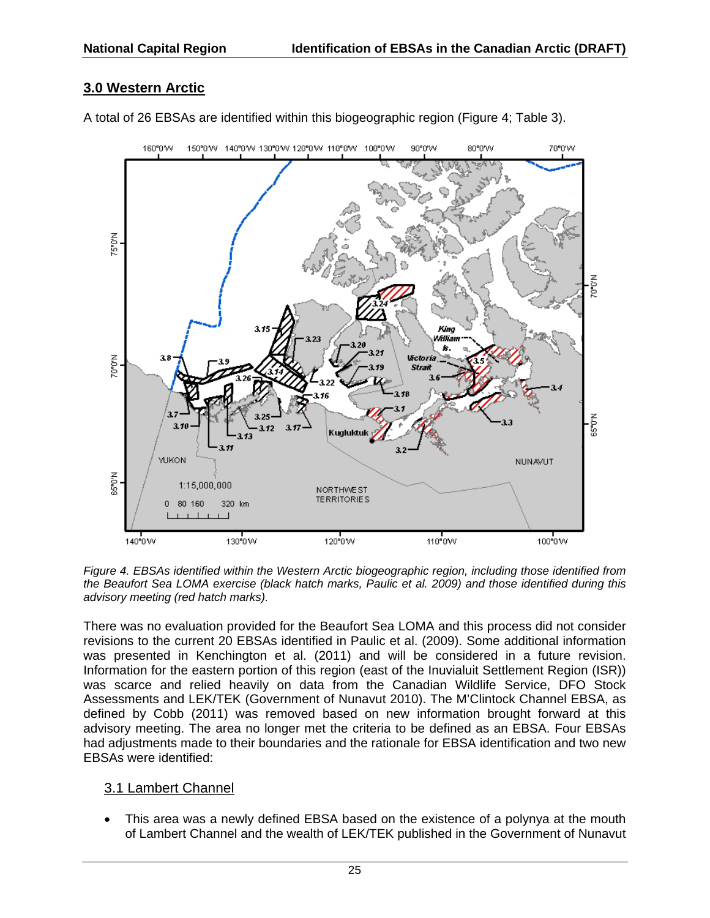## **3.0 Western Arctic**





*Figure 4. EBSAs identified within the Western Arctic biogeographic region, including those identified from the Beaufort Sea LOMA exercise (black hatch marks, Paulic et al. 2009) and those identified during this advisory meeting (red hatch marks).*

There was no evaluation provided for the Beaufort Sea LOMA and this process did not consider revisions to the current 20 EBSAs identified in Paulic et al. (2009). Some additional information was presented in Kenchington et al. (2011) and will be considered in a future revision. Information for the eastern portion of this region (east of the Inuvialuit Settlement Region (ISR)) was scarce and relied heavily on data from the Canadian Wildlife Service, DFO Stock Assessments and LEK/TEK (Government of Nunavut 2010). The M'Clintock Channel EBSA, as defined by Cobb (2011) was removed based on new information brought forward at this advisory meeting. The area no longer met the criteria to be defined as an EBSA. Four EBSAs had adjustments made to their boundaries and the rationale for EBSA identification and two new EBSAs were identified:

#### 3.1 Lambert Channel

 This area was a newly defined EBSA based on the existence of a polynya at the mouth of Lambert Channel and the wealth of LEK/TEK published in the Government of Nunavut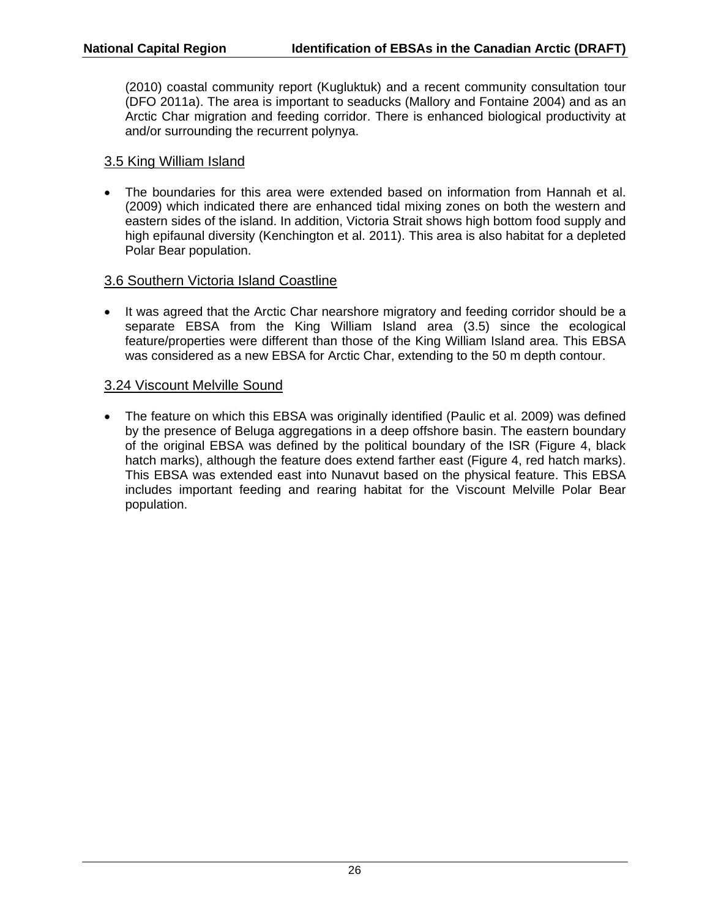(2010) coastal community report (Kugluktuk) and a recent community consultation tour (DFO 2011a). The area is important to seaducks (Mallory and Fontaine 2004) and as an Arctic Char migration and feeding corridor. There is enhanced biological productivity at and/or surrounding the recurrent polynya.

#### 3.5 King William Island

 The boundaries for this area were extended based on information from Hannah et al. (2009) which indicated there are enhanced tidal mixing zones on both the western and eastern sides of the island. In addition, Victoria Strait shows high bottom food supply and high epifaunal diversity (Kenchington et al. 2011). This area is also habitat for a depleted Polar Bear population.

#### 3.6 Southern Victoria Island Coastline

• It was agreed that the Arctic Char nearshore migratory and feeding corridor should be a separate EBSA from the King William Island area (3.5) since the ecological feature/properties were different than those of the King William Island area. This EBSA was considered as a new EBSA for Arctic Char, extending to the 50 m depth contour.

#### 3.24 Viscount Melville Sound

 The feature on which this EBSA was originally identified (Paulic et al. 2009) was defined by the presence of Beluga aggregations in a deep offshore basin. The eastern boundary of the original EBSA was defined by the political boundary of the ISR (Figure 4, black hatch marks), although the feature does extend farther east (Figure 4, red hatch marks). This EBSA was extended east into Nunavut based on the physical feature. This EBSA includes important feeding and rearing habitat for the Viscount Melville Polar Bear population.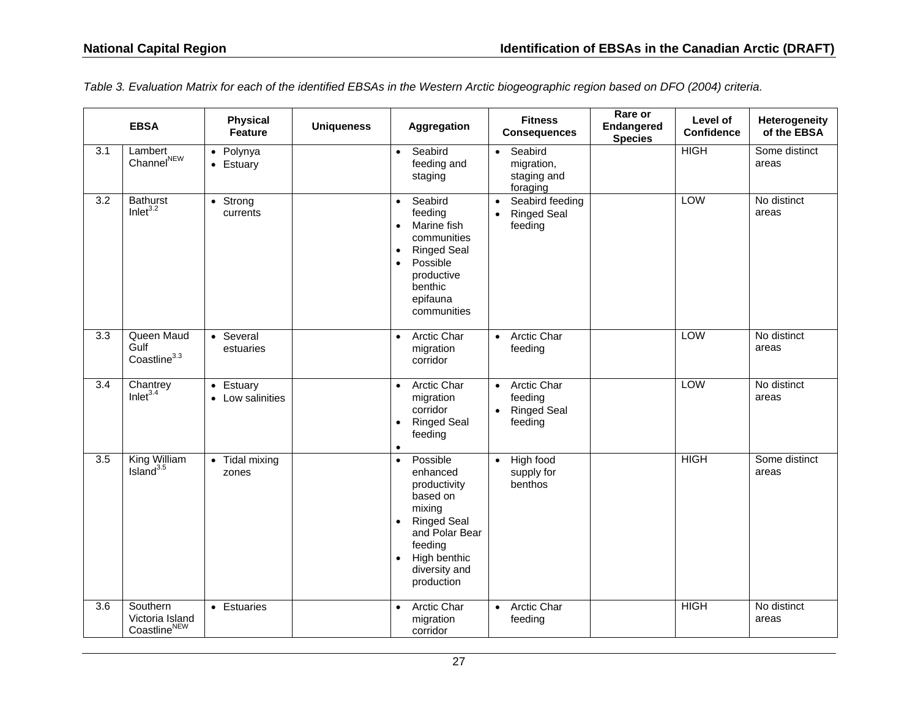|     | <b>EBSA</b>                             | <b>Physical</b><br>Feature        | <b>Uniqueness</b> | <b>Aggregation</b>                                                                                                                                                                 | <b>Fitness</b><br><b>Consequences</b>                                      | Rare or<br><b>Endangered</b><br><b>Species</b> | Level of<br><b>Confidence</b> | <b>Heterogeneity</b><br>of the EBSA |
|-----|-----------------------------------------|-----------------------------------|-------------------|------------------------------------------------------------------------------------------------------------------------------------------------------------------------------------|----------------------------------------------------------------------------|------------------------------------------------|-------------------------------|-------------------------------------|
| 3.1 | Lambert<br>Channel <sup>NEW</sup>       | • Polynya<br>Estuary<br>$\bullet$ |                   | Seabird<br>$\bullet$<br>feeding and<br>staging                                                                                                                                     | Seabird<br>$\bullet$<br>migration,<br>staging and<br>foraging              |                                                | <b>HIGH</b>                   | Some distinct<br>areas              |
| 3.2 | <b>Bathurst</b><br>Inlet $3.2$          | Strong<br>$\bullet$<br>currents   |                   | Seabird<br>$\bullet$<br>feeding<br>Marine fish<br>$\bullet$<br>communities<br><b>Ringed Seal</b><br>٠<br>Possible<br>$\bullet$<br>productive<br>benthic<br>epifauna<br>communities | Seabird feeding<br>$\bullet$<br><b>Ringed Seal</b><br>$\bullet$<br>feeding |                                                | LOW                           | No distinct<br>areas                |
| 3.3 | Queen Maud<br>Gulf<br>$Constitn9^{3.3}$ | Several<br>$\bullet$<br>estuaries |                   | <b>Arctic Char</b><br>$\bullet$<br>migration<br>corridor                                                                                                                           | <b>Arctic Char</b><br>$\bullet$<br>feeding                                 |                                                | <b>LOW</b>                    | No distinct<br>areas                |

*Table 3. Evaluation Matrix for each of the identified EBSAs in the Western Arctic biogeographic region based on DFO (2004) criteria.* 

| 3.3 | Queen Maud<br>Gulf<br>Coastline <sup>3.3</sup>          | • Several<br>estuaries        | Arctic Char<br>$\bullet$<br>migration<br>corridor                                                                                                                                                   | Arctic Char<br>$\bullet$<br>feeding                                  | <b>LOW</b>  | No distinct<br>areas   |
|-----|---------------------------------------------------------|-------------------------------|-----------------------------------------------------------------------------------------------------------------------------------------------------------------------------------------------------|----------------------------------------------------------------------|-------------|------------------------|
| 3.4 | Chantrey<br>Inlet <sup>3.4</sup>                        | • Estuary<br>• Low salinities | Arctic Char<br>$\bullet$<br>migration<br>corridor<br><b>Ringed Seal</b><br>$\bullet$<br>feeding<br>$\bullet$                                                                                        | Arctic Char<br>$\bullet$<br>feeding<br><b>Ringed Seal</b><br>feeding | LOW         | No distinct<br>areas   |
| 3.5 | King William<br>Island $3.5$                            | • Tidal mixing<br>zones       | Possible<br>$\bullet$<br>enhanced<br>productivity<br>based on<br>mixing<br><b>Ringed Seal</b><br>$\bullet$<br>and Polar Bear<br>feeding<br>High benthic<br>$\bullet$<br>diversity and<br>production | High food<br>$\bullet$<br>supply for<br>benthos                      | <b>HIGH</b> | Some distinct<br>areas |
| 3.6 | Southern<br>Victoria Island<br>Coastline <sup>NEW</sup> | • Estuaries                   | <b>Arctic Char</b><br>$\bullet$<br>migration<br>corridor                                                                                                                                            | <b>Arctic Char</b><br>$\bullet$<br>feeding                           | <b>HIGH</b> | No distinct<br>areas   |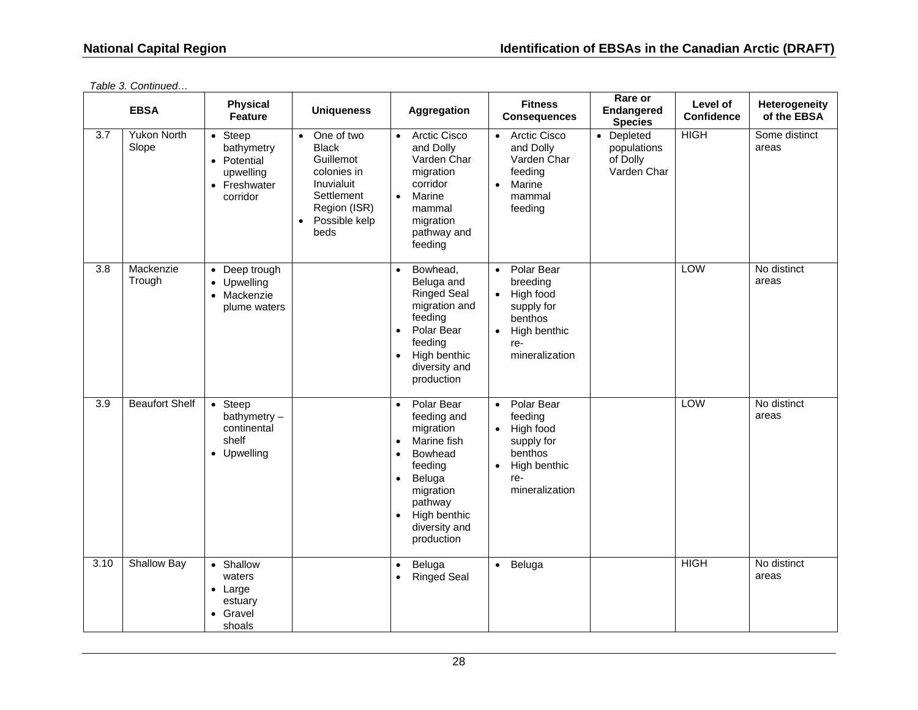|                  | <b>EBSA</b>                 | <b>Physical</b><br>Feature                                                            | <b>Uniqueness</b>                                                                                                                          | Aggregation                                                                                                                                                                                                                   | <b>Fitness</b><br><b>Consequences</b>                                                                                                        | Rare or<br>Endangered<br><b>Species</b>              | Level of<br><b>Confidence</b> | Heterogeneity<br>of the EBSA |
|------------------|-----------------------------|---------------------------------------------------------------------------------------|--------------------------------------------------------------------------------------------------------------------------------------------|-------------------------------------------------------------------------------------------------------------------------------------------------------------------------------------------------------------------------------|----------------------------------------------------------------------------------------------------------------------------------------------|------------------------------------------------------|-------------------------------|------------------------------|
| 3.7              | <b>Yukon North</b><br>Slope | $\bullet$ Steep<br>bathymetry<br>• Potential<br>upwelling<br>• Freshwater<br>corridor | • One of two<br><b>Black</b><br>Guillemot<br>colonies in<br>Inuvialuit<br>Settlement<br>Region (ISR)<br>Possible kelp<br>$\bullet$<br>beds | <b>Arctic Cisco</b><br>$\bullet$<br>and Dolly<br>Varden Char<br>migration<br>corridor<br>Marine<br>$\bullet$<br>mammal<br>migration<br>pathway and<br>feeding                                                                 | <b>Arctic Cisco</b><br>$\bullet$<br>and Dolly<br>Varden Char<br>feeding<br>Marine<br>$\bullet$<br>mammal<br>feeding                          | • Depleted<br>populations<br>of Dolly<br>Varden Char | <b>HIGH</b>                   | Some distinct<br>areas       |
| $\overline{3.8}$ | Mackenzie<br>Trough         | • Deep trough<br>• Upwelling<br>• Mackenzie<br>plume waters                           |                                                                                                                                            | Bowhead,<br>$\bullet$<br>Beluga and<br><b>Ringed Seal</b><br>migration and<br>feeding<br>Polar Bear<br>$\bullet$<br>feeding<br>High benthic<br>$\bullet$<br>diversity and<br>production                                       | Polar Bear<br>$\bullet$<br>breeding<br>High food<br>$\bullet$<br>supply for<br>benthos<br>High benthic<br>$\bullet$<br>re-<br>mineralization |                                                      | LOW                           | No distinct<br>areas         |
| 3.9              | <b>Beaufort Shelf</b>       | $\bullet$ Steep<br>bathymetry $-$<br>continental<br>shelf<br>• Upwelling              |                                                                                                                                            | Polar Bear<br>$\bullet$<br>feeding and<br>migration<br>Marine fish<br>$\bullet$<br>Bowhead<br>$\bullet$<br>feeding<br>Beluga<br>$\bullet$<br>migration<br>pathway<br>High benthic<br>$\bullet$<br>diversity and<br>production | • Polar Bear<br>feeding<br>High food<br>$\bullet$<br>supply for<br>benthos<br>High benthic<br>$\bullet$<br>re-<br>mineralization             |                                                      | LOW                           | No distinct<br>areas         |
| 3.10             | Shallow Bay                 | • Shallow<br>waters<br>$\bullet$ Large<br>estuary<br>• Gravel<br>shoals               |                                                                                                                                            | Beluga<br>$\bullet$<br><b>Ringed Seal</b><br>$\bullet$                                                                                                                                                                        | • Beluga                                                                                                                                     |                                                      | <b>HIGH</b>                   | No distinct<br>areas         |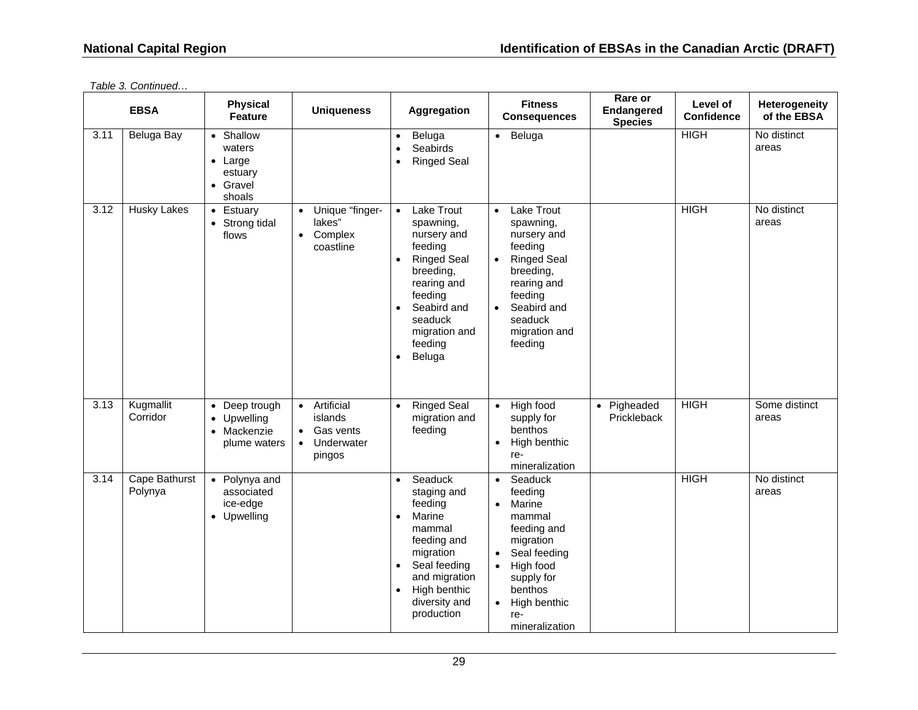|      | <b>EBSA</b>              | <b>Physical</b><br><b>Feature</b>                                       | <b>Uniqueness</b>                                                                      | Aggregation                                                                                                                                                                                                           | <b>Fitness</b><br><b>Consequences</b>                                                                                                                                                                                              | Rare or<br>Endangered<br><b>Species</b> | Level of<br><b>Confidence</b> | Heterogeneity<br>of the EBSA |
|------|--------------------------|-------------------------------------------------------------------------|----------------------------------------------------------------------------------------|-----------------------------------------------------------------------------------------------------------------------------------------------------------------------------------------------------------------------|------------------------------------------------------------------------------------------------------------------------------------------------------------------------------------------------------------------------------------|-----------------------------------------|-------------------------------|------------------------------|
| 3.11 | Beluga Bay               | • Shallow<br>waters<br>$\bullet$ Large<br>estuary<br>• Gravel<br>shoals |                                                                                        | Beluga<br>$\bullet$<br>Seabirds<br><b>Ringed Seal</b><br>$\bullet$                                                                                                                                                    | Beluga<br>$\bullet$                                                                                                                                                                                                                |                                         | <b>HIGH</b>                   | No distinct<br>areas         |
| 3.12 | <b>Husky Lakes</b>       | • Estuary<br>• Strong tidal<br>flows                                    | Unique "finger-<br>$\bullet$<br>lakes"<br>Complex<br>$\bullet$<br>coastline            | Lake Trout<br>$\bullet$<br>spawning,<br>nursery and<br>feeding<br><b>Ringed Seal</b><br>$\bullet$<br>breeding,<br>rearing and<br>feeding<br>Seabird and<br>seaduck<br>migration and<br>feeding<br>Beluga<br>$\bullet$ | Lake Trout<br>$\bullet$<br>spawning,<br>nursery and<br>feeding<br><b>Ringed Seal</b><br>$\bullet$<br>breeding,<br>rearing and<br>feeding<br>Seabird and<br>$\bullet$<br>seaduck<br>migration and<br>feeding                        |                                         | <b>HIGH</b>                   | No distinct<br>areas         |
| 3.13 | Kugmallit<br>Corridor    | • Deep trough<br>• Upwelling<br>• Mackenzie<br>plume waters             | • Artificial<br>islands<br>Gas vents<br>$\bullet$<br>Underwater<br>$\bullet$<br>pingos | <b>Ringed Seal</b><br>$\bullet$<br>migration and<br>feeding                                                                                                                                                           | High food<br>$\bullet$<br>supply for<br>benthos<br>High benthic<br>$\bullet$<br>re-<br>mineralization                                                                                                                              | Pigheaded<br>$\bullet$<br>Prickleback   | <b>HIGH</b>                   | Some distinct<br>areas       |
| 3.14 | Cape Bathurst<br>Polynya | • Polynya and<br>associated<br>ice-edge<br>• Upwelling                  |                                                                                        | Seaduck<br>$\bullet$<br>staging and<br>feeding<br>Marine<br>$\bullet$<br>mammal<br>feeding and<br>migration<br>Seal feeding<br>and migration<br>High benthic<br>$\bullet$<br>diversity and<br>production              | Seaduck<br>$\bullet$<br>feeding<br>Marine<br>$\bullet$<br>mammal<br>feeding and<br>migration<br>Seal feeding<br>$\bullet$<br>High food<br>$\bullet$<br>supply for<br>benthos<br>High benthic<br>$\bullet$<br>re-<br>mineralization |                                         | <b>HIGH</b>                   | No distinct<br>areas         |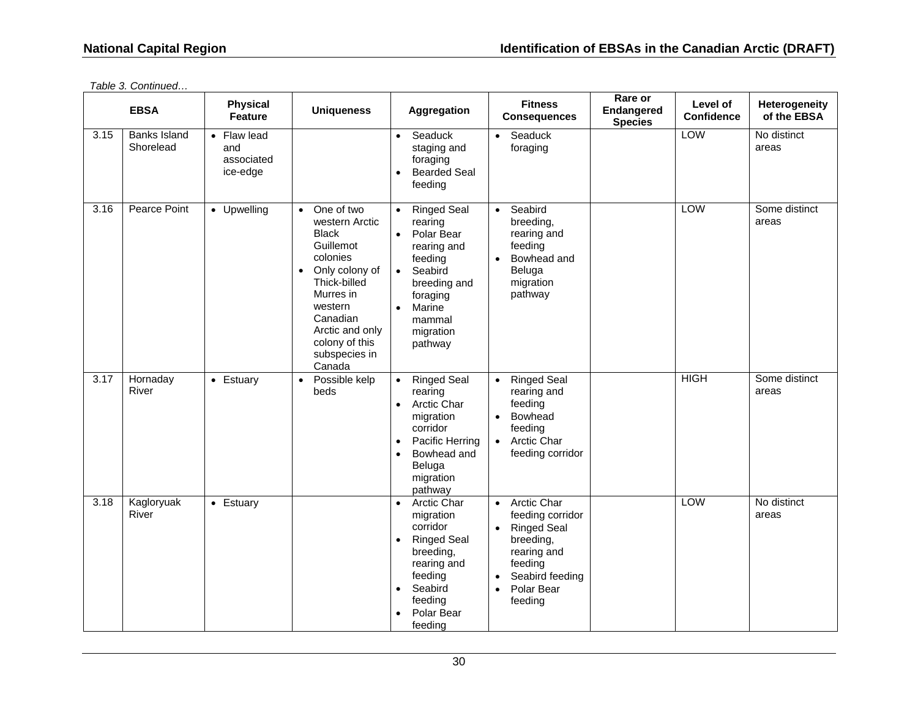|      | <b>EBSA</b>                      | <b>Physical</b><br><b>Feature</b>            | <b>Uniqueness</b>                                                                                                                                                                                                                     | <b>Aggregation</b>                                                                                                                                                                                           | <b>Fitness</b><br><b>Consequences</b>                                                                                                                                                               | Rare or<br>Endangered<br><b>Species</b> | Level of<br><b>Confidence</b> | Heterogeneity<br>of the EBSA |
|------|----------------------------------|----------------------------------------------|---------------------------------------------------------------------------------------------------------------------------------------------------------------------------------------------------------------------------------------|--------------------------------------------------------------------------------------------------------------------------------------------------------------------------------------------------------------|-----------------------------------------------------------------------------------------------------------------------------------------------------------------------------------------------------|-----------------------------------------|-------------------------------|------------------------------|
| 3.15 | <b>Banks Island</b><br>Shorelead | • Flaw lead<br>and<br>associated<br>ice-edge |                                                                                                                                                                                                                                       | Seaduck<br>$\bullet$<br>staging and<br>foraging<br><b>Bearded Seal</b><br>$\bullet$<br>feeding                                                                                                               | Seaduck<br>$\bullet$<br>foraging                                                                                                                                                                    |                                         | LOW                           | No distinct<br>areas         |
| 3.16 | Pearce Point                     | • Upwelling                                  | One of two<br>$\bullet$<br>western Arctic<br><b>Black</b><br>Guillemot<br>colonies<br>Only colony of<br>$\bullet$<br>Thick-billed<br>Murres in<br>western<br>Canadian<br>Arctic and only<br>colony of this<br>subspecies in<br>Canada | <b>Ringed Seal</b><br>$\bullet$<br>rearing<br>Polar Bear<br>$\bullet$<br>rearing and<br>feeding<br>Seabird<br>$\bullet$<br>breeding and<br>foraging<br>Marine<br>$\bullet$<br>mammal<br>migration<br>pathway | Seabird<br>$\bullet$<br>breeding,<br>rearing and<br>feeding<br>Bowhead and<br>$\bullet$<br>Beluga<br>migration<br>pathway                                                                           |                                         | LOW                           | Some distinct<br>areas       |
| 3.17 | Hornaday<br>River                | • Estuary                                    | Possible kelp<br>beds                                                                                                                                                                                                                 | <b>Ringed Seal</b><br>rearing<br><b>Arctic Char</b><br>$\bullet$<br>migration<br>corridor<br>Pacific Herring<br>$\bullet$<br>Bowhead and<br>$\bullet$<br>Beluga<br>migration<br>pathway                      | <b>Ringed Seal</b><br>$\bullet$<br>rearing and<br>feeding<br><b>Bowhead</b><br>$\bullet$<br>feeding<br><b>Arctic Char</b><br>$\bullet$<br>feeding corridor                                          |                                         | <b>HIGH</b>                   | Some distinct<br>areas       |
| 3.18 | Kagloryuak<br>River              | • Estuary                                    |                                                                                                                                                                                                                                       | Arctic Char<br>migration<br>corridor<br><b>Ringed Seal</b><br>$\bullet$<br>breeding,<br>rearing and<br>feeding<br>Seabird<br>$\bullet$<br>feeding<br>Polar Bear<br>feeding                                   | <b>Arctic Char</b><br>$\bullet$<br>feeding corridor<br><b>Ringed Seal</b><br>$\bullet$<br>breeding,<br>rearing and<br>feeding<br>Seabird feeding<br>$\bullet$<br>Polar Bear<br>$\bullet$<br>feeding |                                         | LOW                           | No distinct<br>areas         |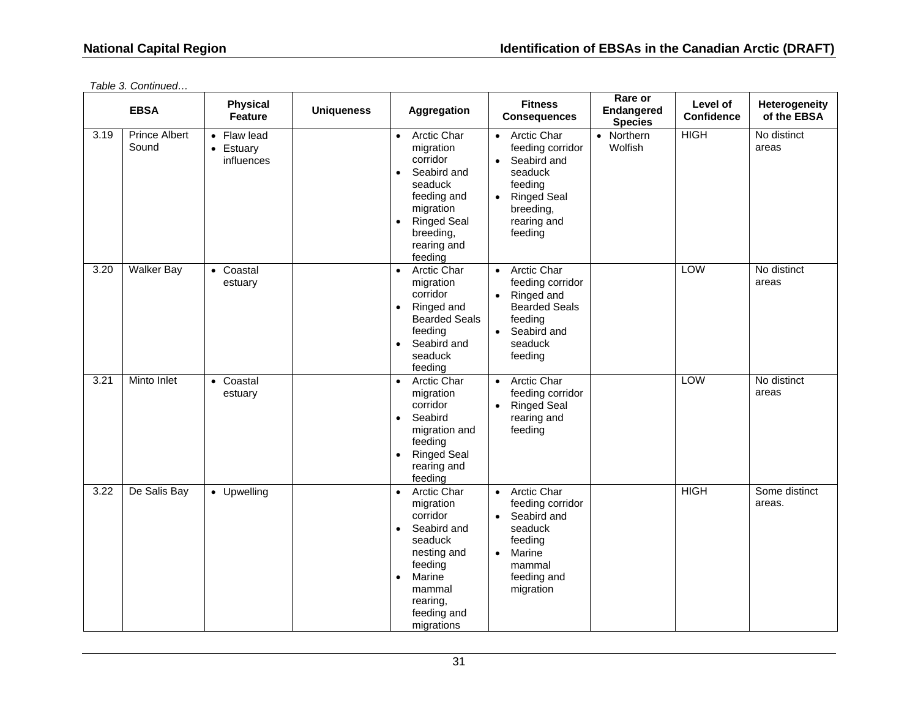|      | <b>EBSA</b>                   | <b>Physical</b><br><b>Feature</b>      | <b>Uniqueness</b> | Aggregation                                                                                                                                                                                           | <b>Fitness</b><br><b>Consequences</b>                                                                                                                                           | Rare or<br>Endangered<br><b>Species</b> | Level of<br><b>Confidence</b> | Heterogeneity<br>of the EBSA |
|------|-------------------------------|----------------------------------------|-------------------|-------------------------------------------------------------------------------------------------------------------------------------------------------------------------------------------------------|---------------------------------------------------------------------------------------------------------------------------------------------------------------------------------|-----------------------------------------|-------------------------------|------------------------------|
| 3.19 | <b>Prince Albert</b><br>Sound | • Flaw lead<br>• Estuary<br>influences |                   | <b>Arctic Char</b><br>$\bullet$<br>migration<br>corridor<br>Seabird and<br>$\bullet$<br>seaduck<br>feeding and<br>migration<br><b>Ringed Seal</b><br>$\bullet$<br>breeding,<br>rearing and<br>feeding | <b>Arctic Char</b><br>$\bullet$<br>feeding corridor<br>Seabird and<br>$\bullet$<br>seaduck<br>feeding<br><b>Ringed Seal</b><br>$\bullet$<br>breeding,<br>rearing and<br>feeding | • Northern<br>Wolfish                   | <b>HIGH</b>                   | No distinct<br>areas         |
| 3.20 | <b>Walker Bay</b>             | • Coastal<br>estuary                   |                   | Arctic Char<br>$\bullet$<br>migration<br>corridor<br>Ringed and<br><b>Bearded Seals</b><br>feeding<br>Seabird and<br>$\bullet$<br>seaduck<br>feeding                                                  | <b>Arctic Char</b><br>$\bullet$<br>feeding corridor<br>• Ringed and<br><b>Bearded Seals</b><br>feeding<br>Seabird and<br>$\bullet$<br>seaduck<br>feeding                        |                                         | LOW                           | No distinct<br>areas         |
| 3.21 | Minto Inlet                   | • Coastal<br>estuary                   |                   | <b>Arctic Char</b><br>migration<br>corridor<br>Seabird<br>$\bullet$<br>migration and<br>feeding<br><b>Ringed Seal</b><br>$\bullet$<br>rearing and<br>feeding                                          | <b>Arctic Char</b><br>$\bullet$<br>feeding corridor<br><b>Ringed Seal</b><br>$\bullet$<br>rearing and<br>feeding                                                                |                                         | LOW                           | No distinct<br>areas         |
| 3.22 | De Salis Bay                  | • Upwelling                            |                   | Arctic Char<br>$\bullet$<br>migration<br>corridor<br>Seabird and<br>$\bullet$<br>seaduck<br>nesting and<br>feeding<br>Marine<br>$\bullet$<br>mammal<br>rearing,<br>feeding and<br>migrations          | Arctic Char<br>$\bullet$<br>feeding corridor<br>Seabird and<br>$\bullet$<br>seaduck<br>feeding<br>Marine<br>$\bullet$<br>mammal<br>feeding and<br>migration                     |                                         | <b>HIGH</b>                   | Some distinct<br>areas.      |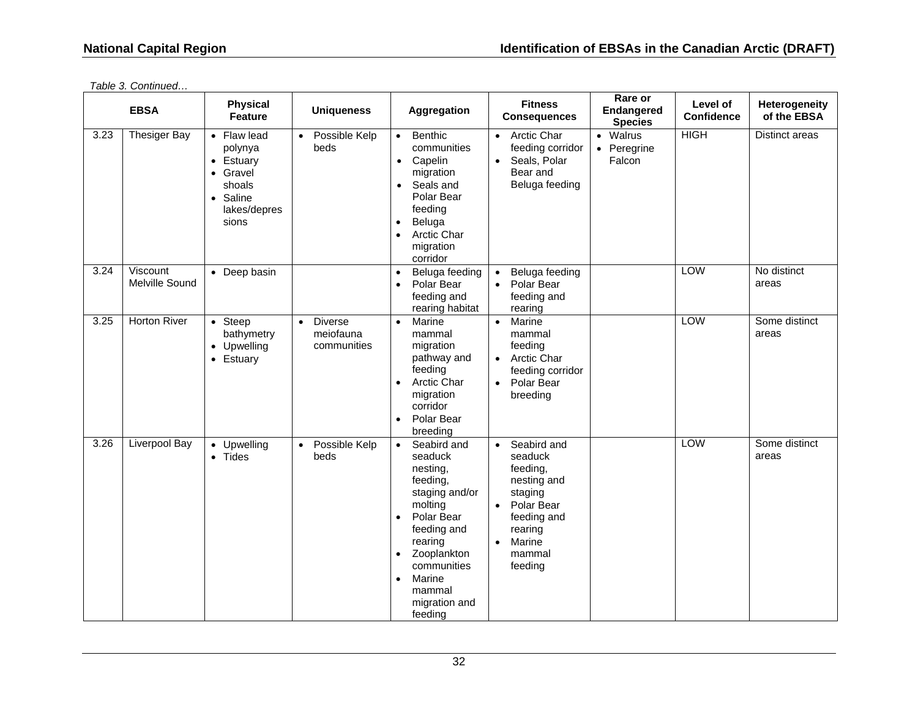|      | <b>EBSA</b>                | <b>Physical</b><br><b>Feature</b>                                                              | <b>Uniqueness</b>                                       | Aggregation                                                                                                                                                                                                                                           | <b>Fitness</b><br><b>Consequences</b>                                                                                                                                      | Rare or<br><b>Endangered</b><br><b>Species</b> | Level of<br><b>Confidence</b> | Heterogeneity<br>of the EBSA |
|------|----------------------------|------------------------------------------------------------------------------------------------|---------------------------------------------------------|-------------------------------------------------------------------------------------------------------------------------------------------------------------------------------------------------------------------------------------------------------|----------------------------------------------------------------------------------------------------------------------------------------------------------------------------|------------------------------------------------|-------------------------------|------------------------------|
| 3.23 | <b>Thesiger Bay</b>        | • Flaw lead<br>polynya<br>• Estuary<br>• Gravel<br>shoals<br>• Saline<br>lakes/depres<br>sions | Possible Kelp<br>beds                                   | Benthic<br>$\bullet$<br>communities<br>Capelin<br>$\bullet$<br>migration<br>Seals and<br>$\bullet$<br>Polar Bear<br>feeding<br>Beluga<br>$\bullet$<br><b>Arctic Char</b><br>$\bullet$<br>migration<br>corridor                                        | Arctic Char<br>$\bullet$<br>feeding corridor<br>Seals, Polar<br>$\bullet$<br>Bear and<br>Beluga feeding                                                                    | • Walrus<br>Peregrine<br>$\bullet$<br>Falcon   | <b>HIGH</b>                   | Distinct areas               |
| 3.24 | Viscount<br>Melville Sound | • Deep basin                                                                                   |                                                         | Beluga feeding<br>$\bullet$<br>Polar Bear<br>$\bullet$<br>feeding and<br>rearing habitat                                                                                                                                                              | Beluga feeding<br>$\bullet$<br>Polar Bear<br>$\bullet$<br>feeding and<br>rearing                                                                                           |                                                | LOW                           | No distinct<br>areas         |
| 3.25 | <b>Horton River</b>        | $\bullet$ Steep<br>bathymetry<br>• Upwelling<br>Estuary                                        | <b>Diverse</b><br>$\bullet$<br>meiofauna<br>communities | Marine<br>$\bullet$<br>mammal<br>migration<br>pathway and<br>feeding<br><b>Arctic Char</b><br>$\bullet$<br>migration<br>corridor<br>Polar Bear<br>$\bullet$<br>breeding                                                                               | Marine<br>$\bullet$<br>mammal<br>feeding<br><b>Arctic Char</b><br>$\bullet$<br>feeding corridor<br>Polar Bear<br>$\bullet$<br>breeding                                     |                                                | LOW                           | Some distinct<br>areas       |
| 3.26 | <b>Liverpool Bay</b>       | • Upwelling<br>$\bullet$ Tides                                                                 | Possible Kelp<br>beds                                   | Seabird and<br>$\bullet$<br>seaduck<br>nesting,<br>feeding,<br>staging and/or<br>molting<br>Polar Bear<br>$\bullet$<br>feeding and<br>rearing<br>Zooplankton<br>$\bullet$<br>communities<br>Marine<br>$\bullet$<br>mammal<br>migration and<br>feeding | Seabird and<br>$\bullet$<br>seaduck<br>feeding,<br>nesting and<br>staging<br>Polar Bear<br>$\bullet$<br>feeding and<br>rearing<br>Marine<br>$\bullet$<br>mammal<br>feeding |                                                | LOW                           | Some distinct<br>areas       |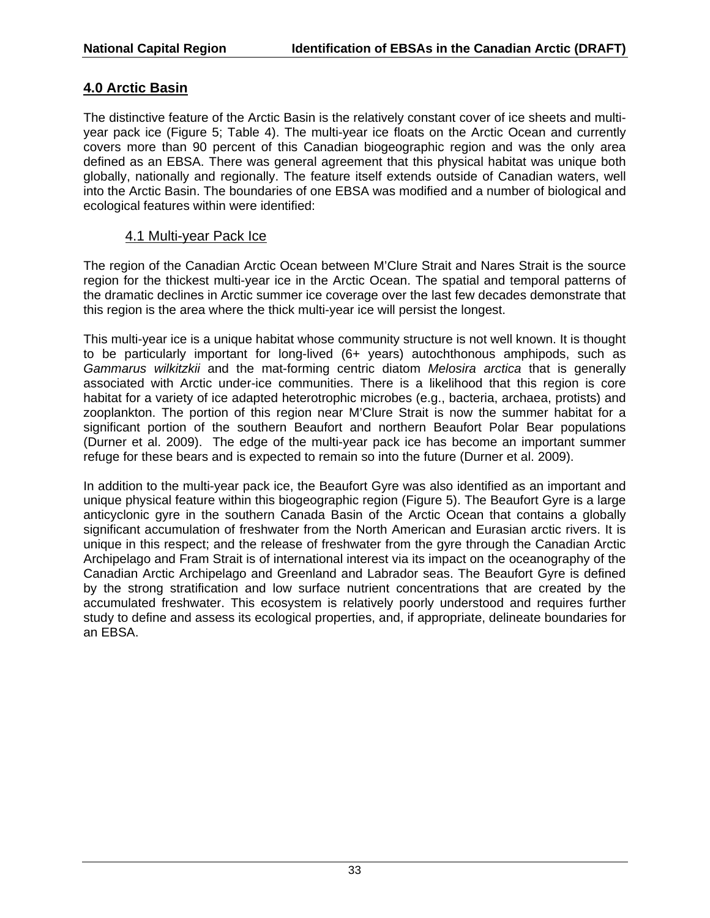## **4.0 Arctic Basin**

The distinctive feature of the Arctic Basin is the relatively constant cover of ice sheets and multiyear pack ice (Figure 5; Table 4). The multi-year ice floats on the Arctic Ocean and currently covers more than 90 percent of this Canadian biogeographic region and was the only area defined as an EBSA. There was general agreement that this physical habitat was unique both globally, nationally and regionally. The feature itself extends outside of Canadian waters, well into the Arctic Basin. The boundaries of one EBSA was modified and a number of biological and ecological features within were identified:

### 4.1 Multi-year Pack Ice

The region of the Canadian Arctic Ocean between M'Clure Strait and Nares Strait is the source region for the thickest multi-year ice in the Arctic Ocean. The spatial and temporal patterns of the dramatic declines in Arctic summer ice coverage over the last few decades demonstrate that this region is the area where the thick multi-year ice will persist the longest.

This multi-year ice is a unique habitat whose community structure is not well known. It is thought to be particularly important for long-lived (6+ years) autochthonous amphipods, such as *Gammarus wilkitzkii* and the mat-forming centric diatom *Melosira arctica* that is generally associated with Arctic under-ice communities. There is a likelihood that this region is core habitat for a variety of ice adapted heterotrophic microbes (e.g., bacteria, archaea, protists) and zooplankton. The portion of this region near M'Clure Strait is now the summer habitat for a significant portion of the southern Beaufort and northern Beaufort Polar Bear populations (Durner et al. 2009). The edge of the multi-year pack ice has become an important summer refuge for these bears and is expected to remain so into the future (Durner et al. 2009).

In addition to the multi-year pack ice, the Beaufort Gyre was also identified as an important and unique physical feature within this biogeographic region (Figure 5). The Beaufort Gyre is a large anticyclonic gyre in the southern Canada Basin of the Arctic Ocean that contains a globally significant accumulation of freshwater from the North American and Eurasian arctic rivers. It is unique in this respect; and the release of freshwater from the gyre through the Canadian Arctic Archipelago and Fram Strait is of international interest via its impact on the oceanography of the Canadian Arctic Archipelago and Greenland and Labrador seas. The Beaufort Gyre is defined by the strong stratification and low surface nutrient concentrations that are created by the accumulated freshwater. This ecosystem is relatively poorly understood and requires further study to define and assess its ecological properties, and, if appropriate, delineate boundaries for an EBSA.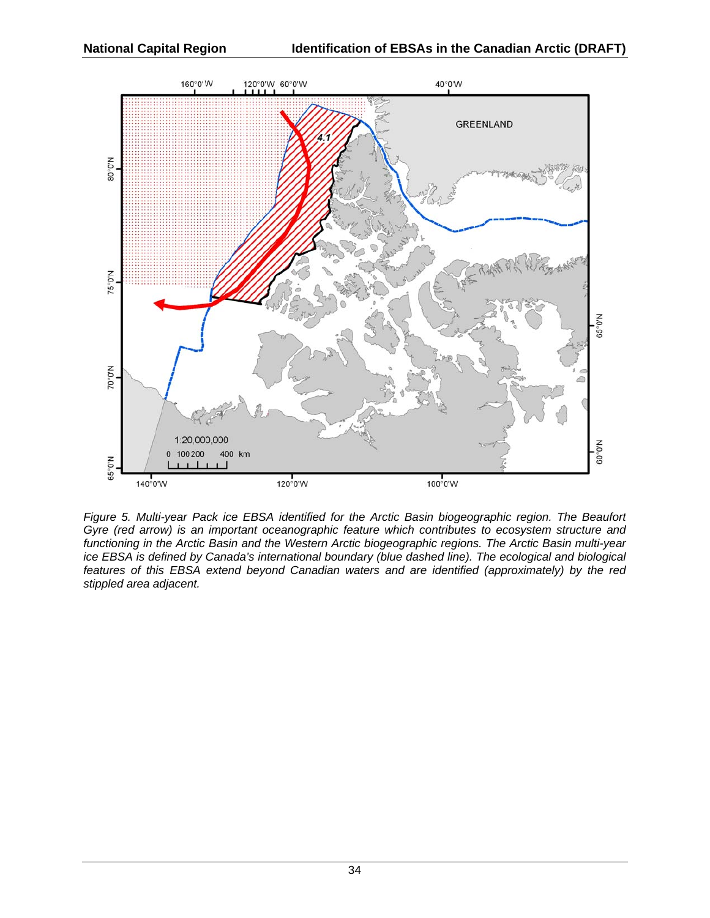

*Figure 5. Multi-year Pack ice EBSA identified for the Arctic Basin biogeographic region. The Beaufort Gyre (red arrow) is an important oceanographic feature which contributes to ecosystem structure and functioning in the Arctic Basin and the Western Arctic biogeographic regions. The Arctic Basin multi-year ice EBSA is defined by Canada's international boundary (blue dashed line). The ecological and biological features of this EBSA extend beyond Canadian waters and are identified (approximately) by the red stippled area adjacent.*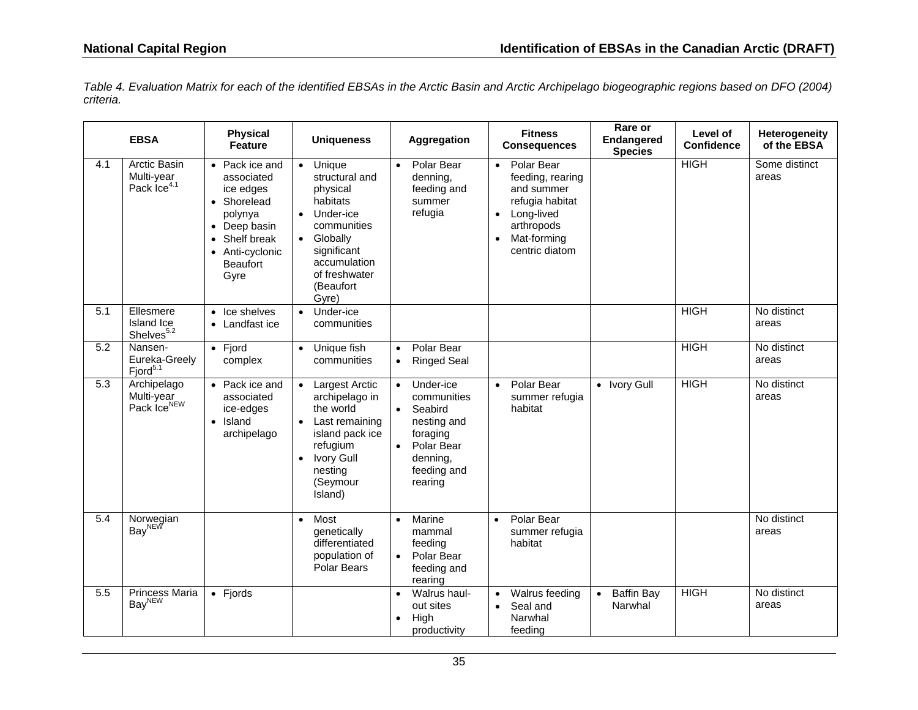*Table 4. Evaluation Matrix for each of the identified EBSAs in the Arctic Basin and Arctic Archipelago biogeographic regions based on DFO (2004) criteria.* 

|                  | <b>EBSA</b>                                           | <b>Physical</b><br><b>Feature</b>                                                                                                                | <b>Uniqueness</b>                                                                                                                                                                                     | Aggregation                                                                                                                                  | <b>Fitness</b><br><b>Consequences</b>                                                                                                                  | Rare or<br>Endangered<br><b>Species</b>   | Level of<br><b>Confidence</b> | Heterogeneity<br>of the EBSA |
|------------------|-------------------------------------------------------|--------------------------------------------------------------------------------------------------------------------------------------------------|-------------------------------------------------------------------------------------------------------------------------------------------------------------------------------------------------------|----------------------------------------------------------------------------------------------------------------------------------------------|--------------------------------------------------------------------------------------------------------------------------------------------------------|-------------------------------------------|-------------------------------|------------------------------|
| 4.1              | Arctic Basin<br>Multi-year<br>Pack Ice <sup>4.1</sup> | • Pack ice and<br>associated<br>ice edges<br>• Shorelead<br>polynya<br>• Deep basin<br>Shelf break<br>• Anti-cyclonic<br><b>Beaufort</b><br>Gyre | Unique<br>$\bullet$<br>structural and<br>physical<br>habitats<br>Under-ice<br>$\bullet$<br>communities<br>Globally<br>$\bullet$<br>significant<br>accumulation<br>of freshwater<br>(Beaufort<br>Gyre) | Polar Bear<br>$\bullet$<br>denning,<br>feeding and<br>summer<br>refugia                                                                      | Polar Bear<br>$\bullet$<br>feeding, rearing<br>and summer<br>refugia habitat<br>Long-lived<br>$\bullet$<br>arthropods<br>Mat-forming<br>centric diatom |                                           | <b>HIGH</b>                   | Some distinct<br>areas       |
| 5.1              | Ellesmere<br>Island Ice<br>Shelves <sup>5.2</sup>     | • Ice shelves<br>• Landfast ice                                                                                                                  | Under-ice<br>$\bullet$<br>communities                                                                                                                                                                 |                                                                                                                                              |                                                                                                                                                        |                                           | <b>HIGH</b>                   | No distinct<br>areas         |
| $\overline{5.2}$ | Nansen-<br>Eureka-Greely<br>Fjord $5.1$               | $\bullet$ Fjord<br>complex                                                                                                                       | Unique fish<br>$\bullet$<br>communities                                                                                                                                                               | Polar Bear<br>$\bullet$<br><b>Ringed Seal</b><br>$\bullet$                                                                                   |                                                                                                                                                        |                                           | <b>HIGH</b>                   | No distinct<br>areas         |
| 5.3              | Archipelago<br>Multi-year<br>Pack IceNEW              | • Pack ice and<br>associated<br>ice-edges<br>• Island<br>archipelago                                                                             | <b>Largest Arctic</b><br>archipelago in<br>the world<br>Last remaining<br>$\bullet$<br>island pack ice<br>refugium<br><b>Ivory Gull</b><br>$\bullet$<br>nesting<br>(Seymour<br>Island)                | Under-ice<br>communities<br>Seabird<br>$\bullet$<br>nesting and<br>foraging<br>Polar Bear<br>$\bullet$<br>denning,<br>feeding and<br>rearing | Polar Bear<br>$\bullet$<br>summer refugia<br>habitat                                                                                                   | • Ivory Gull                              | <b>HIGH</b>                   | No distinct<br>areas         |
| $\overline{5.4}$ | Norwegian<br>Bay <sup>NEW</sup>                       |                                                                                                                                                  | Most<br>$\bullet$<br>genetically<br>differentiated<br>population of<br>Polar Bears                                                                                                                    | Marine<br>$\bullet$<br>mammal<br>feeding<br>Polar Bear<br>$\bullet$<br>feeding and<br>rearing                                                | Polar Bear<br>$\bullet$<br>summer refugia<br>habitat                                                                                                   |                                           |                               | No distinct<br>areas         |
| 5.5              | <b>Princess Maria</b><br>Bay <sup>NEW</sup>           | $\bullet$ Fjords                                                                                                                                 |                                                                                                                                                                                                       | Walrus haul-<br>out sites<br>High<br>$\bullet$<br>productivity                                                                               | Walrus feeding<br>Seal and<br>$\bullet$<br>Narwhal<br>feeding                                                                                          | <b>Baffin Bay</b><br>$\bullet$<br>Narwhal | <b>HIGH</b>                   | No distinct<br>areas         |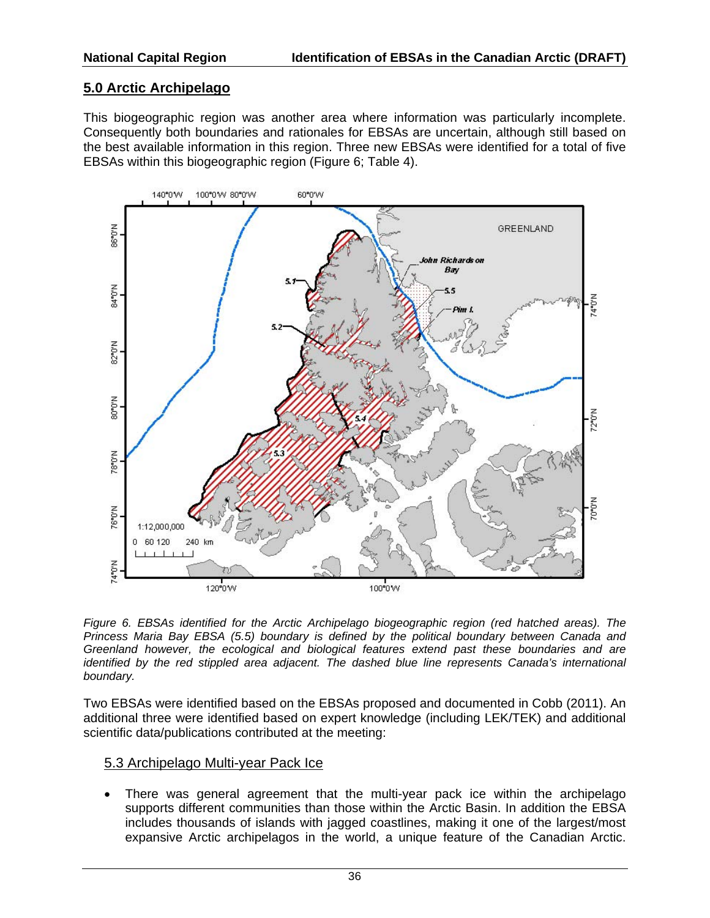## **5.0 Arctic Archipelago**

This biogeographic region was another area where information was particularly incomplete. Consequently both boundaries and rationales for EBSAs are uncertain, although still based on the best available information in this region. Three new EBSAs were identified for a total of five EBSAs within this biogeographic region (Figure 6; Table 4).



*Figure 6. EBSAs identified for the Arctic Archipelago biogeographic region (red hatched areas). The Princess Maria Bay EBSA (5.5) boundary is defined by the political boundary between Canada and Greenland however, the ecological and biological features extend past these boundaries and are identified by the red stippled area adjacent. The dashed blue line represents Canada's international boundary.* 

Two EBSAs were identified based on the EBSAs proposed and documented in Cobb (2011). An additional three were identified based on expert knowledge (including LEK/TEK) and additional scientific data/publications contributed at the meeting:

#### 5.3 Archipelago Multi-year Pack Ice

 There was general agreement that the multi-year pack ice within the archipelago supports different communities than those within the Arctic Basin. In addition the EBSA includes thousands of islands with jagged coastlines, making it one of the largest/most expansive Arctic archipelagos in the world, a unique feature of the Canadian Arctic.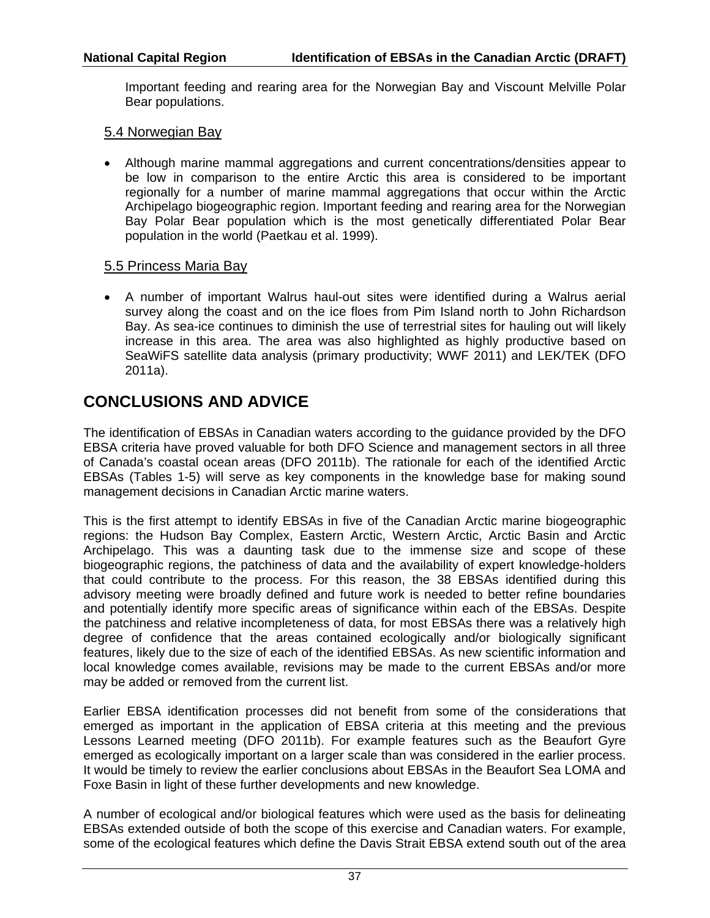Important feeding and rearing area for the Norwegian Bay and Viscount Melville Polar Bear populations.

#### 5.4 Norwegian Bay

 Although marine mammal aggregations and current concentrations/densities appear to be low in comparison to the entire Arctic this area is considered to be important regionally for a number of marine mammal aggregations that occur within the Arctic Archipelago biogeographic region. Important feeding and rearing area for the Norwegian Bay Polar Bear population which is the most genetically differentiated Polar Bear population in the world (Paetkau et al. 1999).

#### 5.5 Princess Maria Bay

 A number of important Walrus haul-out sites were identified during a Walrus aerial survey along the coast and on the ice floes from Pim Island north to John Richardson Bay. As sea-ice continues to diminish the use of terrestrial sites for hauling out will likely increase in this area. The area was also highlighted as highly productive based on SeaWiFS satellite data analysis (primary productivity; WWF 2011) and LEK/TEK (DFO 2011a).

# **CONCLUSIONS AND ADVICE**

The identification of EBSAs in Canadian waters according to the guidance provided by the DFO EBSA criteria have proved valuable for both DFO Science and management sectors in all three of Canada's coastal ocean areas (DFO 2011b). The rationale for each of the identified Arctic EBSAs (Tables 1-5) will serve as key components in the knowledge base for making sound management decisions in Canadian Arctic marine waters.

This is the first attempt to identify EBSAs in five of the Canadian Arctic marine biogeographic regions: the Hudson Bay Complex, Eastern Arctic, Western Arctic, Arctic Basin and Arctic Archipelago. This was a daunting task due to the immense size and scope of these biogeographic regions, the patchiness of data and the availability of expert knowledge-holders that could contribute to the process. For this reason, the 38 EBSAs identified during this advisory meeting were broadly defined and future work is needed to better refine boundaries and potentially identify more specific areas of significance within each of the EBSAs. Despite the patchiness and relative incompleteness of data, for most EBSAs there was a relatively high degree of confidence that the areas contained ecologically and/or biologically significant features, likely due to the size of each of the identified EBSAs. As new scientific information and local knowledge comes available, revisions may be made to the current EBSAs and/or more may be added or removed from the current list.

Earlier EBSA identification processes did not benefit from some of the considerations that emerged as important in the application of EBSA criteria at this meeting and the previous Lessons Learned meeting (DFO 2011b). For example features such as the Beaufort Gyre emerged as ecologically important on a larger scale than was considered in the earlier process. It would be timely to review the earlier conclusions about EBSAs in the Beaufort Sea LOMA and Foxe Basin in light of these further developments and new knowledge.

A number of ecological and/or biological features which were used as the basis for delineating EBSAs extended outside of both the scope of this exercise and Canadian waters. For example, some of the ecological features which define the Davis Strait EBSA extend south out of the area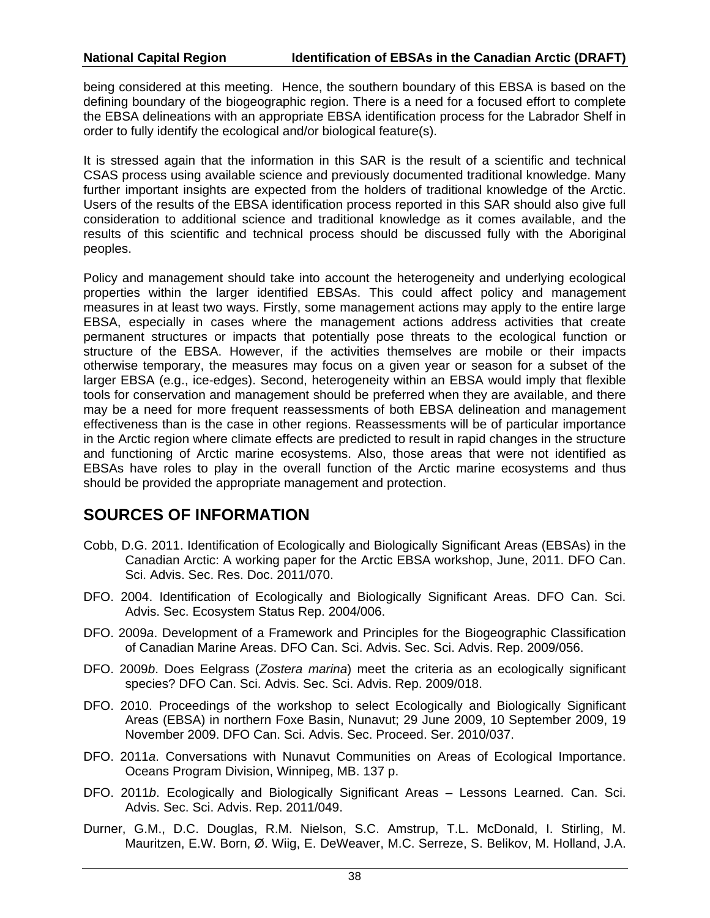being considered at this meeting. Hence, the southern boundary of this EBSA is based on the defining boundary of the biogeographic region. There is a need for a focused effort to complete the EBSA delineations with an appropriate EBSA identification process for the Labrador Shelf in order to fully identify the ecological and/or biological feature(s).

It is stressed again that the information in this SAR is the result of a scientific and technical CSAS process using available science and previously documented traditional knowledge. Many further important insights are expected from the holders of traditional knowledge of the Arctic. Users of the results of the EBSA identification process reported in this SAR should also give full consideration to additional science and traditional knowledge as it comes available, and the results of this scientific and technical process should be discussed fully with the Aboriginal peoples.

Policy and management should take into account the heterogeneity and underlying ecological properties within the larger identified EBSAs. This could affect policy and management measures in at least two ways. Firstly, some management actions may apply to the entire large EBSA, especially in cases where the management actions address activities that create permanent structures or impacts that potentially pose threats to the ecological function or structure of the EBSA. However, if the activities themselves are mobile or their impacts otherwise temporary, the measures may focus on a given year or season for a subset of the larger EBSA (e.g., ice-edges). Second, heterogeneity within an EBSA would imply that flexible tools for conservation and management should be preferred when they are available, and there may be a need for more frequent reassessments of both EBSA delineation and management effectiveness than is the case in other regions. Reassessments will be of particular importance in the Arctic region where climate effects are predicted to result in rapid changes in the structure and functioning of Arctic marine ecosystems. Also, those areas that were not identified as EBSAs have roles to play in the overall function of the Arctic marine ecosystems and thus should be provided the appropriate management and protection.

## **SOURCES OF INFORMATION**

- Cobb, D.G. 2011. Identification of Ecologically and Biologically Significant Areas (EBSAs) in the Canadian Arctic: A working paper for the Arctic EBSA workshop, June, 2011. DFO Can. Sci. Advis. Sec. Res. Doc. 2011/070.
- DFO. 2004. Identification of Ecologically and Biologically Significant Areas. DFO Can. Sci. Advis. Sec. Ecosystem Status Rep. 2004/006.
- DFO. 2009*a*. Development of a Framework and Principles for the Biogeographic Classification of Canadian Marine Areas. DFO Can. Sci. Advis. Sec. Sci. Advis. Rep. 2009/056.
- DFO. 2009*b*. Does Eelgrass (*Zostera marina*) meet the criteria as an ecologically significant species? DFO Can. Sci. Advis. Sec. Sci. Advis. Rep. 2009/018.
- DFO. 2010. Proceedings of the workshop to select Ecologically and Biologically Significant Areas (EBSA) in northern Foxe Basin, Nunavut; 29 June 2009, 10 September 2009, 19 November 2009. DFO Can. Sci. Advis. Sec. Proceed. Ser. 2010/037.
- DFO. 2011*a*. Conversations with Nunavut Communities on Areas of Ecological Importance. Oceans Program Division, Winnipeg, MB. 137 p.
- DFO. 2011*b*. Ecologically and Biologically Significant Areas Lessons Learned. Can. Sci. Advis. Sec. Sci. Advis. Rep. 2011/049.
- Durner, G.M., D.C. Douglas, R.M. Nielson, S.C. Amstrup, T.L. McDonald, I. Stirling, M. Mauritzen, E.W. Born, Ø. Wiig, E. DeWeaver, M.C. Serreze, S. Belikov, M. Holland, J.A.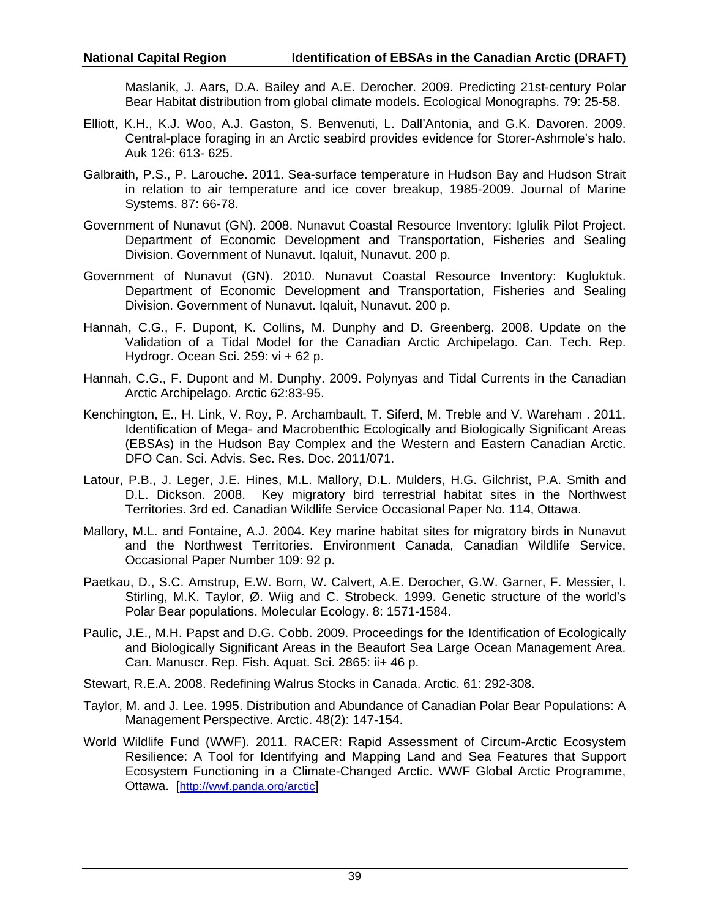Maslanik, J. Aars, D.A. Bailey and A.E. Derocher. 2009. Predicting 21st-century Polar Bear Habitat distribution from global climate models. Ecological Monographs. 79: 25-58.

- Elliott, K.H., K.J. Woo, A.J. Gaston, S. Benvenuti, L. Dall'Antonia, and G.K. Davoren. 2009. Central-place foraging in an Arctic seabird provides evidence for Storer-Ashmole's halo. Auk 126: 613- 625.
- Galbraith, P.S., P. Larouche. 2011. Sea-surface temperature in Hudson Bay and Hudson Strait in relation to air temperature and ice cover breakup, 1985-2009. Journal of Marine Systems. 87: 66-78.
- Government of Nunavut (GN). 2008. Nunavut Coastal Resource Inventory: Iglulik Pilot Project. Department of Economic Development and Transportation, Fisheries and Sealing Division. Government of Nunavut. Iqaluit, Nunavut. 200 p.
- Government of Nunavut (GN). 2010. Nunavut Coastal Resource Inventory: Kugluktuk. Department of Economic Development and Transportation, Fisheries and Sealing Division. Government of Nunavut. Iqaluit, Nunavut. 200 p.
- Hannah, C.G., F. Dupont, K. Collins, M. Dunphy and D. Greenberg. 2008. Update on the Validation of a Tidal Model for the Canadian Arctic Archipelago. Can. Tech. Rep. Hydrogr. Ocean Sci. 259: vi + 62 p.
- Hannah, C.G., F. Dupont and M. Dunphy. 2009. Polynyas and Tidal Currents in the Canadian Arctic Archipelago. Arctic 62:83-95.
- Kenchington, E., H. Link, V. Roy, P. Archambault, T. Siferd, M. Treble and V. Wareham . 2011. Identification of Mega- and Macrobenthic Ecologically and Biologically Significant Areas (EBSAs) in the Hudson Bay Complex and the Western and Eastern Canadian Arctic. DFO Can. Sci. Advis. Sec. Res. Doc. 2011/071.
- Latour, P.B., J. Leger, J.E. Hines, M.L. Mallory, D.L. Mulders, H.G. Gilchrist, P.A. Smith and D.L. Dickson. 2008. Key migratory bird terrestrial habitat sites in the Northwest Territories. 3rd ed. Canadian Wildlife Service Occasional Paper No. 114, Ottawa.
- Mallory, M.L. and Fontaine, A.J. 2004. Key marine habitat sites for migratory birds in Nunavut and the Northwest Territories. Environment Canada, Canadian Wildlife Service, Occasional Paper Number 109: 92 p.
- Paetkau, D., S.C. Amstrup, E.W. Born, W. Calvert, A.E. Derocher, G.W. Garner, F. Messier, I. Stirling, M.K. Taylor, Ø. Wiig and C. Strobeck. 1999. Genetic structure of the world's Polar Bear populations. Molecular Ecology. 8: 1571-1584.
- Paulic, J.E., M.H. Papst and D.G. Cobb. 2009. Proceedings for the Identification of Ecologically and Biologically Significant Areas in the Beaufort Sea Large Ocean Management Area. Can. Manuscr. Rep. Fish. Aquat. Sci. 2865: ii+ 46 p.
- Stewart, R.E.A. 2008. Redefining Walrus Stocks in Canada. Arctic. 61: 292-308.
- Taylor, M. and J. Lee. 1995. Distribution and Abundance of Canadian Polar Bear Populations: A Management Perspective. Arctic. 48(2): 147-154.
- World Wildlife Fund (WWF). 2011. RACER: Rapid Assessment of Circum-Arctic Ecosystem Resilience: A Tool for Identifying and Mapping Land and Sea Features that Support Ecosystem Functioning in a Climate-Changed Arctic. WWF Global Arctic Programme, Ottawa. [http://wwf.panda.org/arctic]